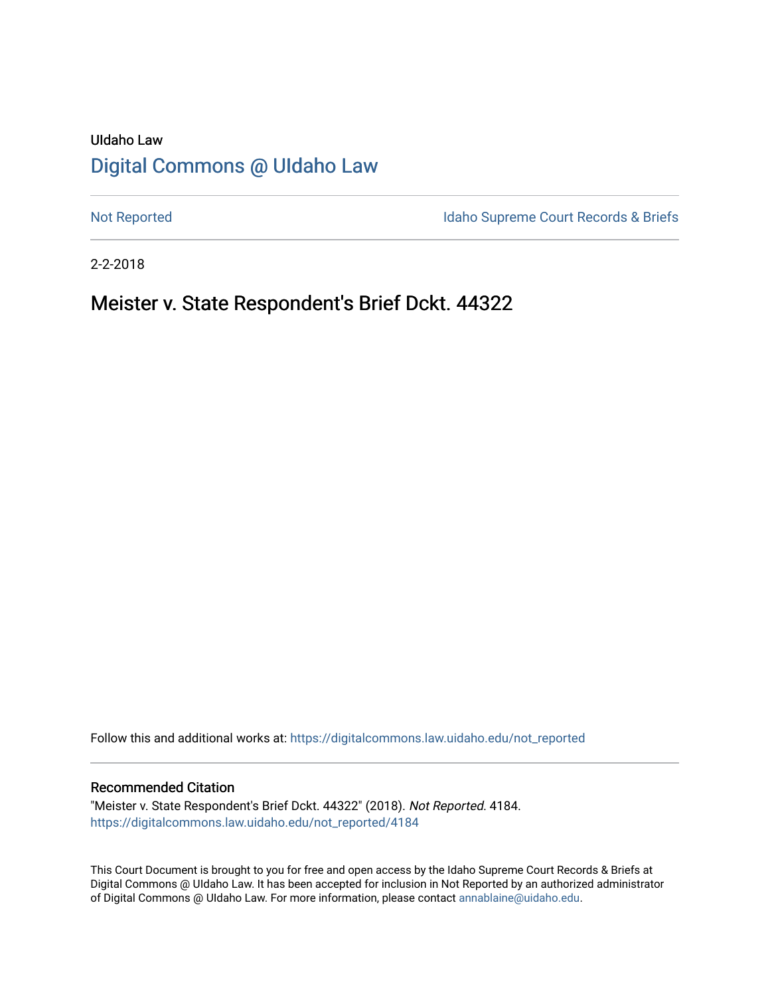## UIdaho Law [Digital Commons @ UIdaho Law](https://digitalcommons.law.uidaho.edu/)

[Not Reported](https://digitalcommons.law.uidaho.edu/not_reported) **Idaho Supreme Court Records & Briefs** 

2-2-2018

## Meister v. State Respondent's Brief Dckt. 44322

Follow this and additional works at: [https://digitalcommons.law.uidaho.edu/not\\_reported](https://digitalcommons.law.uidaho.edu/not_reported?utm_source=digitalcommons.law.uidaho.edu%2Fnot_reported%2F4184&utm_medium=PDF&utm_campaign=PDFCoverPages) 

#### Recommended Citation

"Meister v. State Respondent's Brief Dckt. 44322" (2018). Not Reported. 4184. [https://digitalcommons.law.uidaho.edu/not\\_reported/4184](https://digitalcommons.law.uidaho.edu/not_reported/4184?utm_source=digitalcommons.law.uidaho.edu%2Fnot_reported%2F4184&utm_medium=PDF&utm_campaign=PDFCoverPages)

This Court Document is brought to you for free and open access by the Idaho Supreme Court Records & Briefs at Digital Commons @ UIdaho Law. It has been accepted for inclusion in Not Reported by an authorized administrator of Digital Commons @ UIdaho Law. For more information, please contact [annablaine@uidaho.edu](mailto:annablaine@uidaho.edu).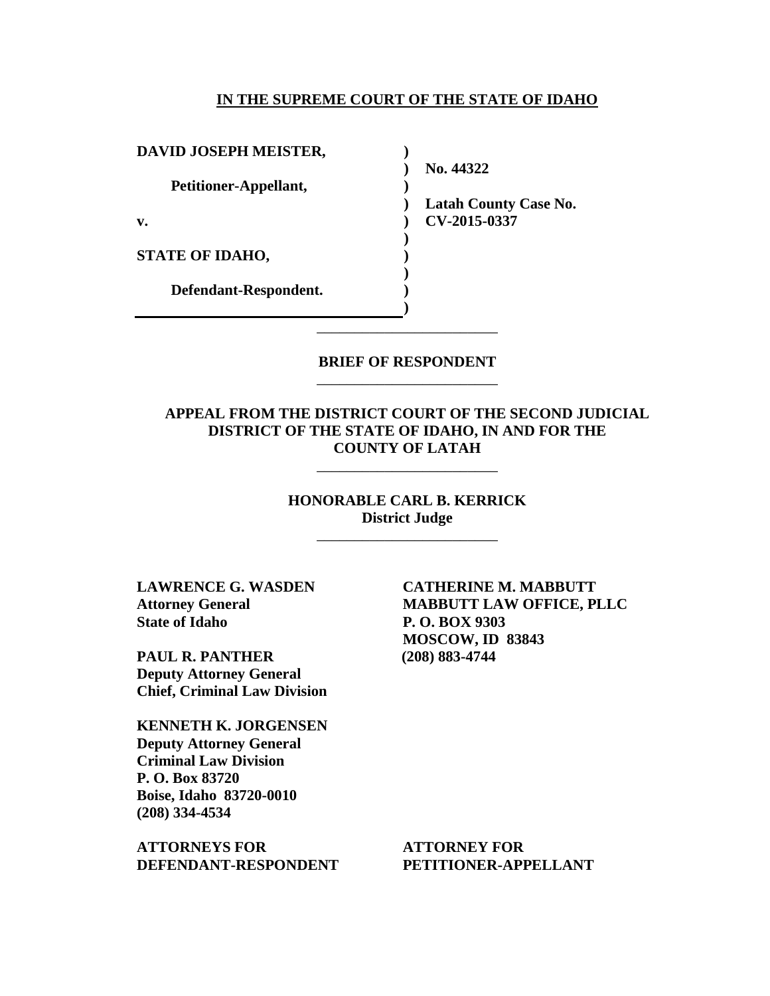#### **IN THE SUPREME COURT OF THE STATE OF IDAHO**

**)**

**)** 

**) ) ) ) )**

**DAVID JOSEPH MEISTER,**

**Petitioner-Appellant,**

**v.**

**STATE OF IDAHO,**

**Defendant-Respondent.**

**) No. 44322** 

**) Latah County Case No. ) CV-2015-0337** 

**BRIEF OF RESPONDENT** \_\_\_\_\_\_\_\_\_\_\_\_\_\_\_\_\_\_\_\_\_\_\_\_

\_\_\_\_\_\_\_\_\_\_\_\_\_\_\_\_\_\_\_\_\_\_\_\_

**APPEAL FROM THE DISTRICT COURT OF THE SECOND JUDICIAL DISTRICT OF THE STATE OF IDAHO, IN AND FOR THE COUNTY OF LATAH** 

\_\_\_\_\_\_\_\_\_\_\_\_\_\_\_\_\_\_\_\_\_\_\_\_

**HONORABLE CARL B. KERRICK District Judge**

\_\_\_\_\_\_\_\_\_\_\_\_\_\_\_\_\_\_\_\_\_\_\_\_

**LAWRENCE G. WASDEN Attorney General State of Idaho**

**PAUL R. PANTHER Deputy Attorney General Chief, Criminal Law Division**

**KENNETH K. JORGENSEN Deputy Attorney General Criminal Law Division P. O. Box 83720 Boise, Idaho 83720-0010 (208) 334-4534** 

**ATTORNEYS FOR DEFENDANT-RESPONDENT**

**CATHERINE M. MABBUTT MABBUTT LAW OFFICE, PLLC P. O. BOX 9303 MOSCOW, ID 83843 (208) 883-4744**

**ATTORNEY FOR PETITIONER-APPELLANT**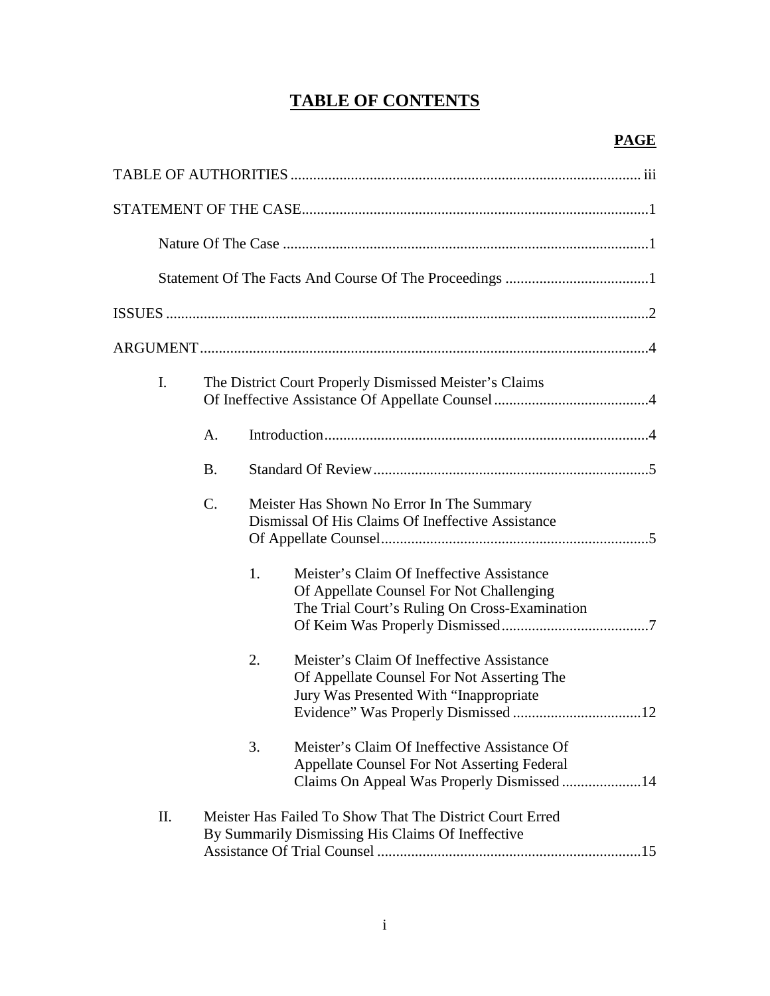# **TABLE OF CONTENTS**

| I.  |           | The District Court Properly Dismissed Meister's Claims                                         |                                                                                                                                                  |  |
|-----|-----------|------------------------------------------------------------------------------------------------|--------------------------------------------------------------------------------------------------------------------------------------------------|--|
|     | A.        |                                                                                                |                                                                                                                                                  |  |
|     | <b>B.</b> |                                                                                                |                                                                                                                                                  |  |
|     | C.        | Meister Has Shown No Error In The Summary<br>Dismissal Of His Claims Of Ineffective Assistance |                                                                                                                                                  |  |
|     |           | 1.                                                                                             | Meister's Claim Of Ineffective Assistance<br>Of Appellate Counsel For Not Challenging<br>The Trial Court's Ruling On Cross-Examination           |  |
|     |           | 2.                                                                                             | Meister's Claim Of Ineffective Assistance<br>Of Appellate Counsel For Not Asserting The<br>Jury Was Presented With "Inappropriate"               |  |
|     |           | 3.                                                                                             | Meister's Claim Of Ineffective Assistance Of<br><b>Appellate Counsel For Not Asserting Federal</b><br>Claims On Appeal Was Properly Dismissed 14 |  |
| II. |           |                                                                                                | Meister Has Failed To Show That The District Court Erred<br>By Summarily Dismissing His Claims Of Ineffective                                    |  |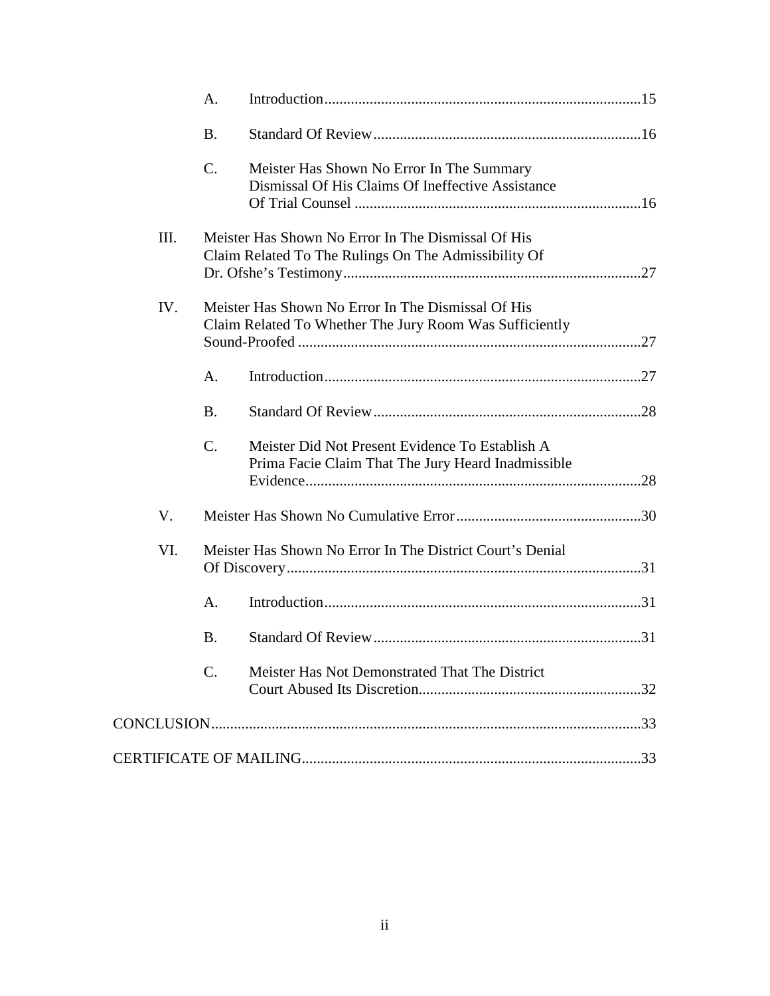|     | A.              |                                                                                                               |  |
|-----|-----------------|---------------------------------------------------------------------------------------------------------------|--|
|     | <b>B.</b>       |                                                                                                               |  |
|     | C.              | Meister Has Shown No Error In The Summary<br>Dismissal Of His Claims Of Ineffective Assistance                |  |
| Ш.  |                 | Meister Has Shown No Error In The Dismissal Of His<br>Claim Related To The Rulings On The Admissibility Of    |  |
| IV. |                 | Meister Has Shown No Error In The Dismissal Of His<br>Claim Related To Whether The Jury Room Was Sufficiently |  |
|     | $A_{\cdot}$     |                                                                                                               |  |
|     | <b>B.</b>       |                                                                                                               |  |
|     | $C_{\cdot}$     | Meister Did Not Present Evidence To Establish A<br>Prima Facie Claim That The Jury Heard Inadmissible         |  |
| V.  |                 |                                                                                                               |  |
| VI. |                 | Meister Has Shown No Error In The District Court's Denial                                                     |  |
|     | A.              |                                                                                                               |  |
|     | <b>B.</b>       |                                                                                                               |  |
|     | $\mathcal{C}$ . | Meister Has Not Demonstrated That The District                                                                |  |
|     |                 |                                                                                                               |  |
|     |                 |                                                                                                               |  |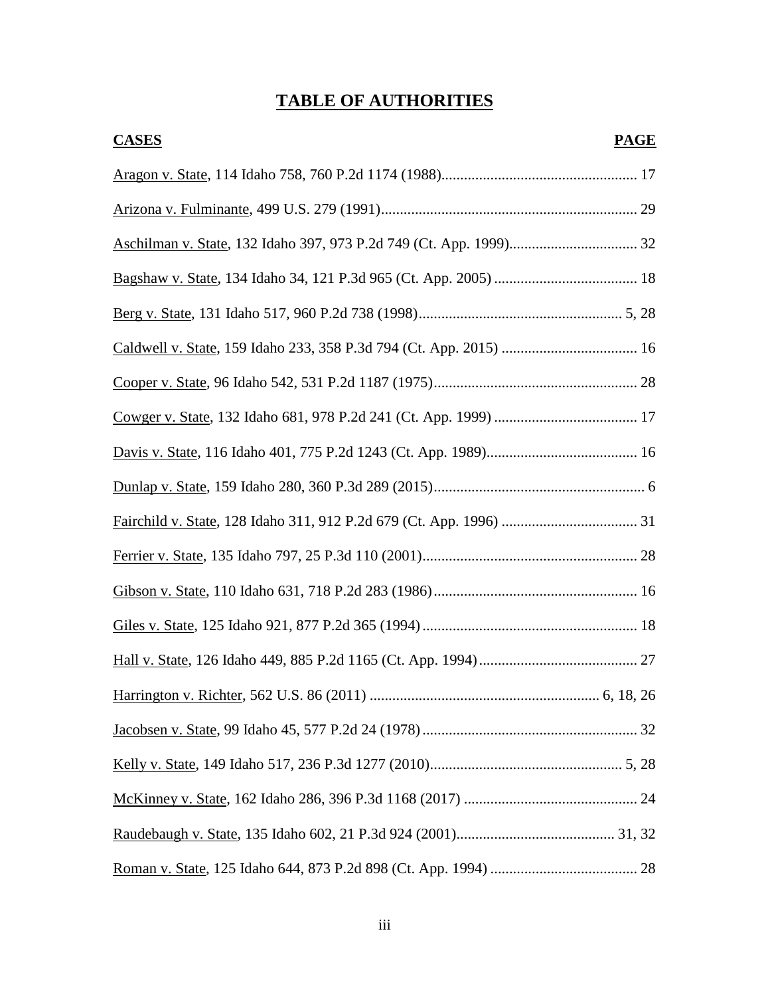# **TABLE OF AUTHORITIES**

| <b>CASES</b> | <b>PAGE</b> |
|--------------|-------------|
|              |             |
|              |             |
|              |             |
|              |             |
|              |             |
|              |             |
|              |             |
|              |             |
|              |             |
|              |             |
|              |             |
|              |             |
|              |             |
|              |             |
|              |             |
|              |             |
|              |             |
|              |             |
|              |             |
|              |             |
|              |             |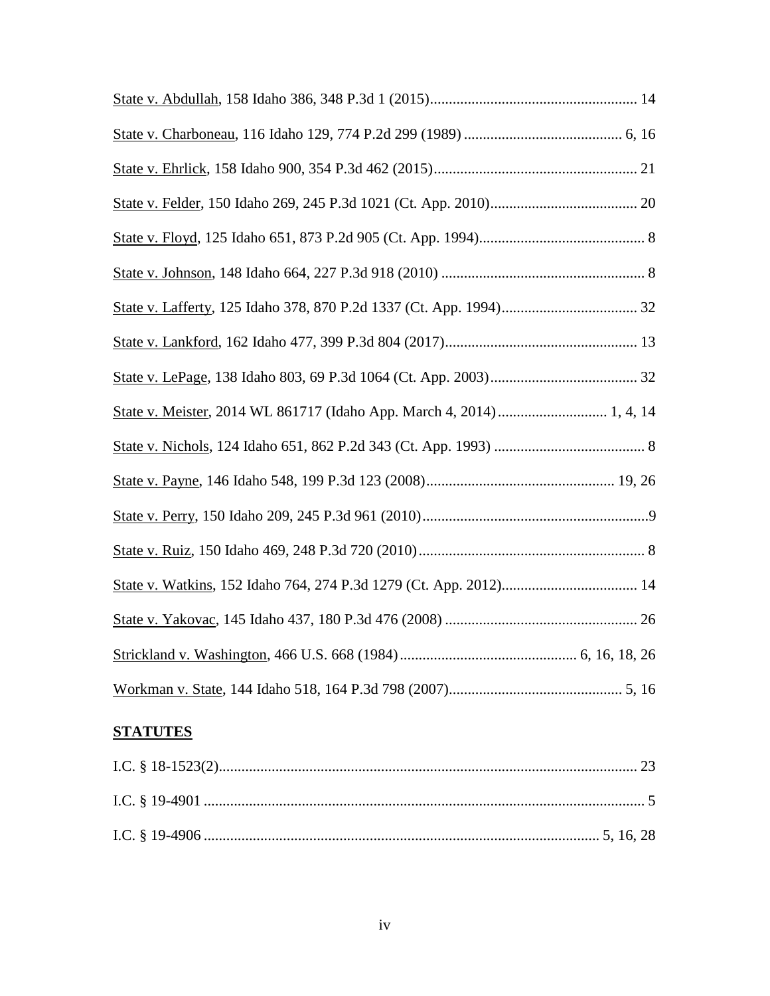| State v. Meister, 2014 WL 861717 (Idaho App. March 4, 2014)  1, 4, 14 |  |
|-----------------------------------------------------------------------|--|
|                                                                       |  |
|                                                                       |  |
|                                                                       |  |
|                                                                       |  |
|                                                                       |  |
|                                                                       |  |
|                                                                       |  |
|                                                                       |  |

## **STATUTES**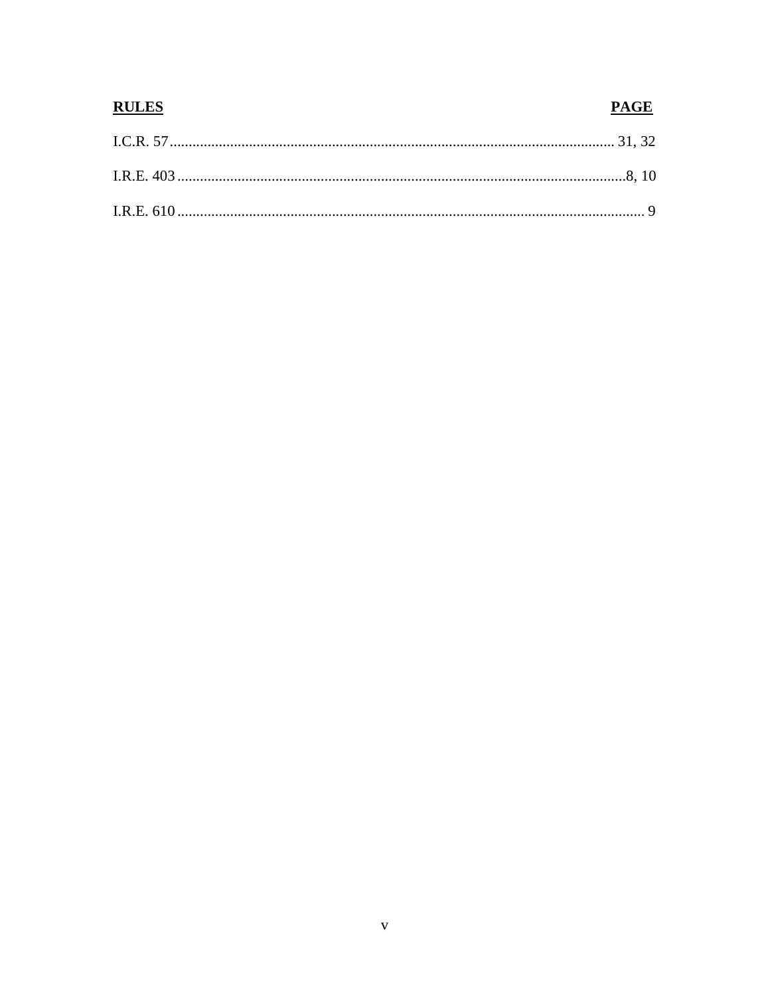# **RULES PAGE**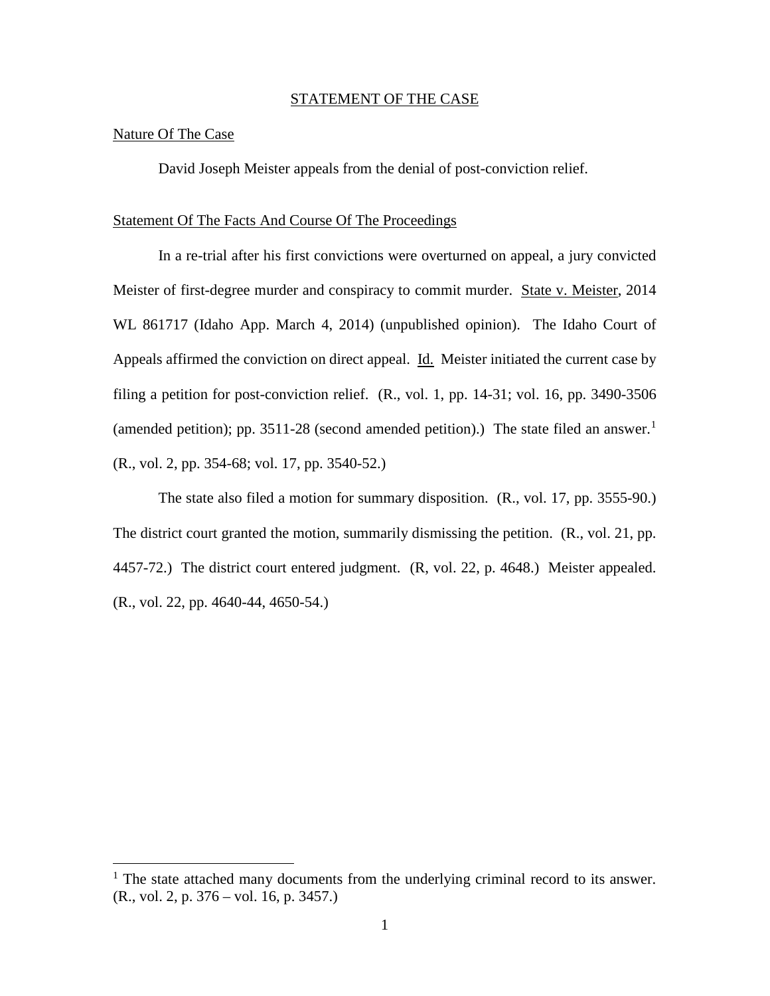#### STATEMENT OF THE CASE

#### Nature Of The Case

 $\overline{a}$ 

David Joseph Meister appeals from the denial of post-conviction relief.

#### Statement Of The Facts And Course Of The Proceedings

In a re-trial after his first convictions were overturned on appeal, a jury convicted Meister of first-degree murder and conspiracy to commit murder. State v. Meister, 2014 WL 861717 (Idaho App. March 4, 2014) (unpublished opinion). The Idaho Court of Appeals affirmed the conviction on direct appeal. Id. Meister initiated the current case by filing a petition for post-conviction relief. (R., vol. 1, pp. 14-31; vol. 16, pp. 3490-3506 (amended petition); pp. 35[1](#page-7-0)1-28 (second amended petition).) The state filed an answer.<sup>1</sup> (R., vol. 2, pp. 354-68; vol. 17, pp. 3540-52.)

The state also filed a motion for summary disposition. (R., vol. 17, pp. 3555-90.) The district court granted the motion, summarily dismissing the petition. (R., vol. 21, pp. 4457-72.) The district court entered judgment. (R, vol. 22, p. 4648.) Meister appealed. (R., vol. 22, pp. 4640-44, 4650-54.)

<span id="page-7-0"></span> $<sup>1</sup>$  The state attached many documents from the underlying criminal record to its answer.</sup> (R., vol. 2, p. 376 – vol. 16, p. 3457.)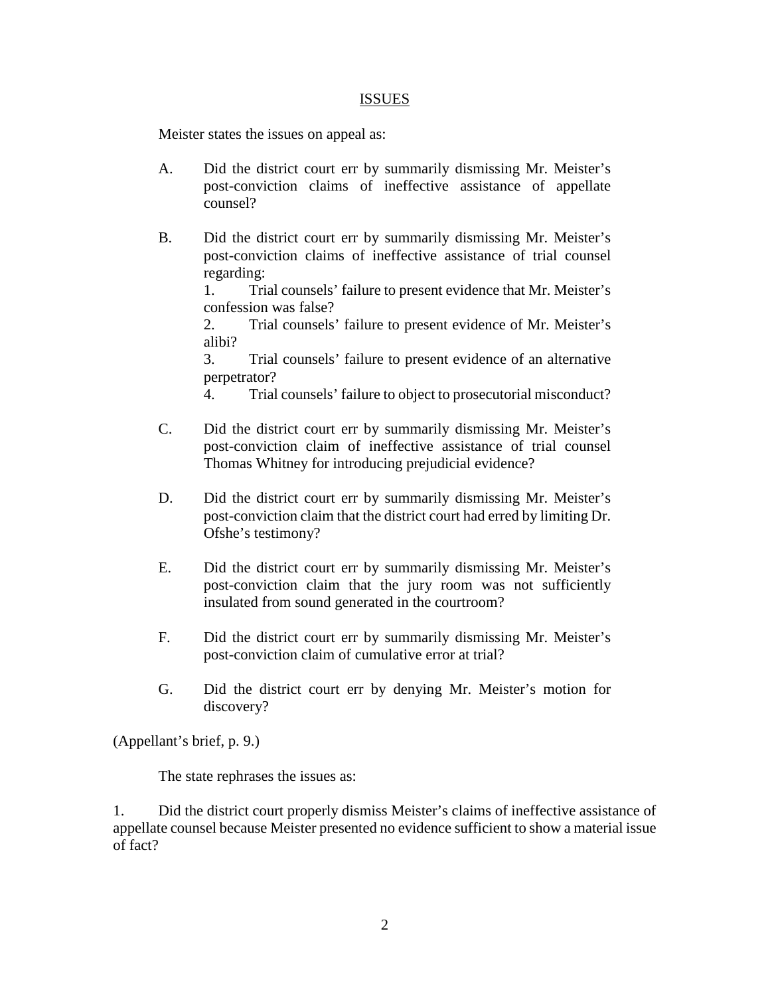#### ISSUES

Meister states the issues on appeal as:

- A. Did the district court err by summarily dismissing Mr. Meister's post-conviction claims of ineffective assistance of appellate counsel?
- B. Did the district court err by summarily dismissing Mr. Meister's post-conviction claims of ineffective assistance of trial counsel regarding:

 1. Trial counsels' failure to present evidence that Mr. Meister's confession was false?

2. Trial counsels' failure to present evidence of Mr. Meister's alibi?

3. Trial counsels' failure to present evidence of an alternative perpetrator?

4. Trial counsels' failure to object to prosecutorial misconduct?

- C. Did the district court err by summarily dismissing Mr. Meister's post-conviction claim of ineffective assistance of trial counsel Thomas Whitney for introducing prejudicial evidence?
- D. Did the district court err by summarily dismissing Mr. Meister's post-conviction claim that the district court had erred by limiting Dr. Ofshe's testimony?
- E. Did the district court err by summarily dismissing Mr. Meister's post-conviction claim that the jury room was not sufficiently insulated from sound generated in the courtroom?
- F. Did the district court err by summarily dismissing Mr. Meister's post-conviction claim of cumulative error at trial?
- G. Did the district court err by denying Mr. Meister's motion for discovery?

(Appellant's brief, p. 9.)

The state rephrases the issues as:

1. Did the district court properly dismiss Meister's claims of ineffective assistance of appellate counsel because Meister presented no evidence sufficient to show a material issue of fact?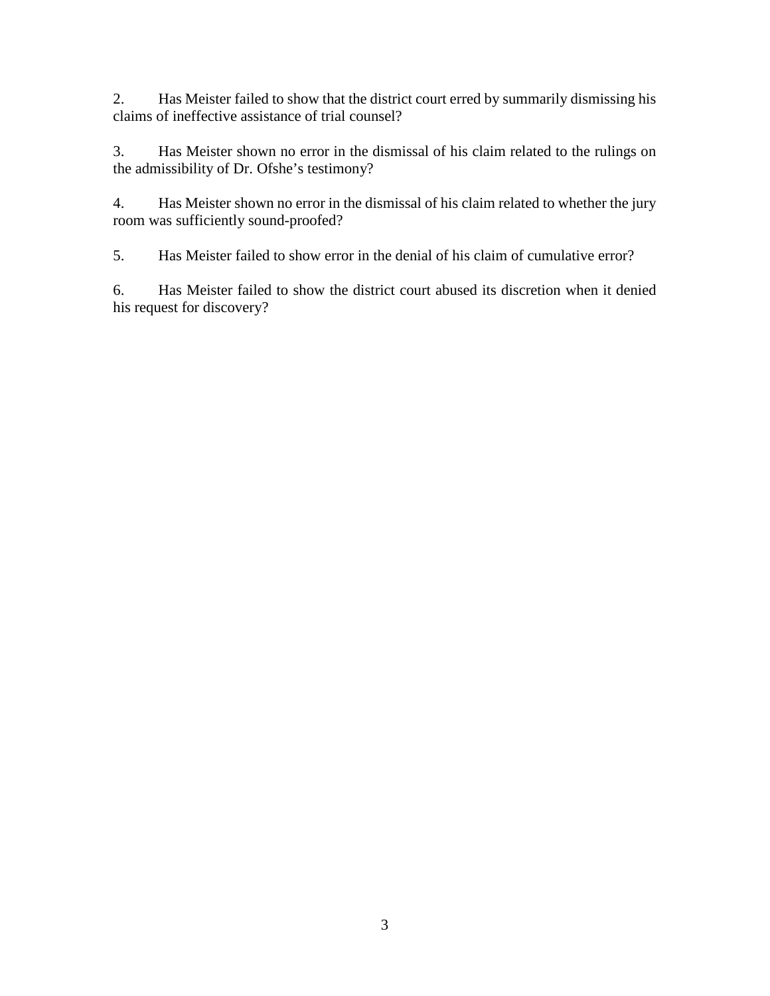2. Has Meister failed to show that the district court erred by summarily dismissing his claims of ineffective assistance of trial counsel?

3. Has Meister shown no error in the dismissal of his claim related to the rulings on the admissibility of Dr. Ofshe's testimony?

4. Has Meister shown no error in the dismissal of his claim related to whether the jury room was sufficiently sound-proofed?

5. Has Meister failed to show error in the denial of his claim of cumulative error?

6. Has Meister failed to show the district court abused its discretion when it denied his request for discovery?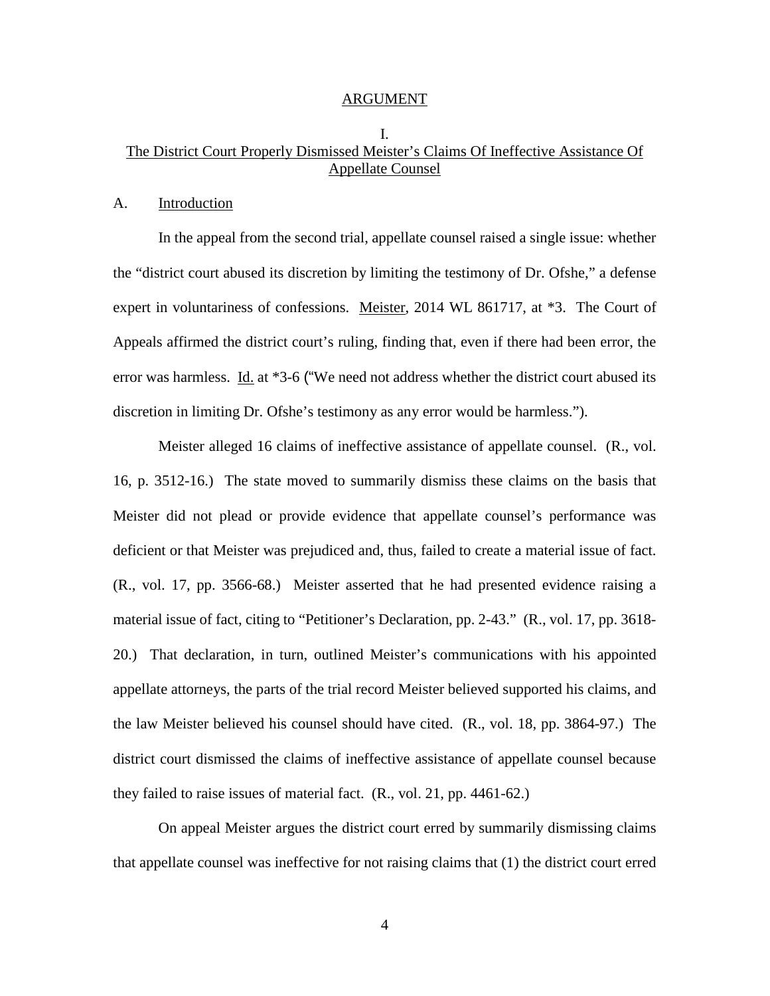#### ARGUMENT

## I. The District Court Properly Dismissed Meister's Claims Of Ineffective Assistance Of Appellate Counsel

#### A. Introduction

In the appeal from the second trial, appellate counsel raised a single issue: whether the "district court abused its discretion by limiting the testimony of Dr. Ofshe," a defense expert in voluntariness of confessions. Meister, 2014 WL 861717, at \*3. The Court of Appeals affirmed the district court's ruling, finding that, even if there had been error, the error was harmless. Id. at \*3-6 ("We need not address whether the district court abused its discretion in limiting Dr. Ofshe's testimony as any error would be harmless.").

Meister alleged 16 claims of ineffective assistance of appellate counsel. (R., vol. 16, p. 3512-16.) The state moved to summarily dismiss these claims on the basis that Meister did not plead or provide evidence that appellate counsel's performance was deficient or that Meister was prejudiced and, thus, failed to create a material issue of fact. (R., vol. 17, pp. 3566-68.) Meister asserted that he had presented evidence raising a material issue of fact, citing to "Petitioner's Declaration, pp. 2-43." (R., vol. 17, pp. 3618- 20.) That declaration, in turn, outlined Meister's communications with his appointed appellate attorneys, the parts of the trial record Meister believed supported his claims, and the law Meister believed his counsel should have cited. (R., vol. 18, pp. 3864-97.) The district court dismissed the claims of ineffective assistance of appellate counsel because they failed to raise issues of material fact. (R., vol. 21, pp. 4461-62.)

On appeal Meister argues the district court erred by summarily dismissing claims that appellate counsel was ineffective for not raising claims that (1) the district court erred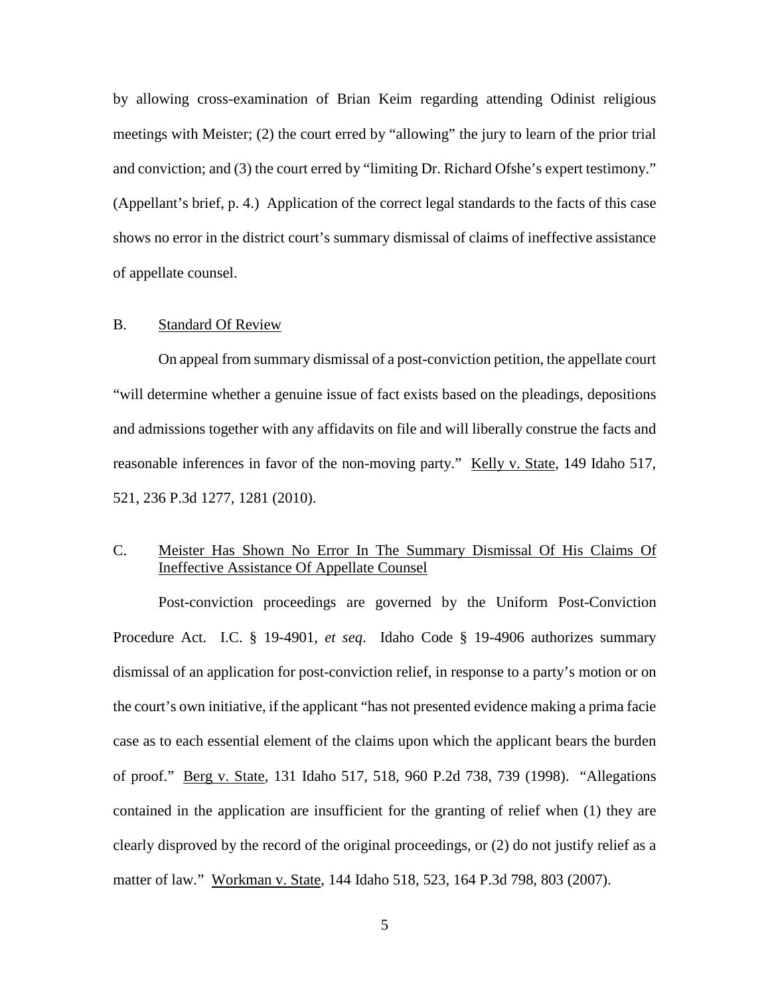by allowing cross-examination of Brian Keim regarding attending Odinist religious meetings with Meister; (2) the court erred by "allowing" the jury to learn of the prior trial and conviction; and (3) the court erred by "limiting Dr. Richard Ofshe's expert testimony." (Appellant's brief, p. 4.) Application of the correct legal standards to the facts of this case shows no error in the district court's summary dismissal of claims of ineffective assistance of appellate counsel.

#### B. Standard Of Review

On appeal from summary dismissal of a post-conviction petition, the appellate court "will determine whether a genuine issue of fact exists based on the pleadings, depositions and admissions together with any affidavits on file and will liberally construe the facts and reasonable inferences in favor of the non-moving party." Kelly v. State, 149 Idaho 517, 521, 236 P.3d 1277, 1281 (2010).

## C. Meister Has Shown No Error In The Summary Dismissal Of His Claims Of Ineffective Assistance Of Appellate Counsel

Post-conviction proceedings are governed by the Uniform Post-Conviction Procedure Act. I.C. § 19-4901, *et seq*. Idaho Code § 19-4906 authorizes summary dismissal of an application for post-conviction relief, in response to a party's motion or on the court's own initiative, if the applicant "has not presented evidence making a prima facie case as to each essential element of the claims upon which the applicant bears the burden of proof." Berg v. State, 131 Idaho 517, 518, 960 P.2d 738, 739 (1998). "Allegations contained in the application are insufficient for the granting of relief when (1) they are clearly disproved by the record of the original proceedings, or (2) do not justify relief as a matter of law." Workman v. State, 144 Idaho 518, 523, 164 P.3d 798, 803 (2007).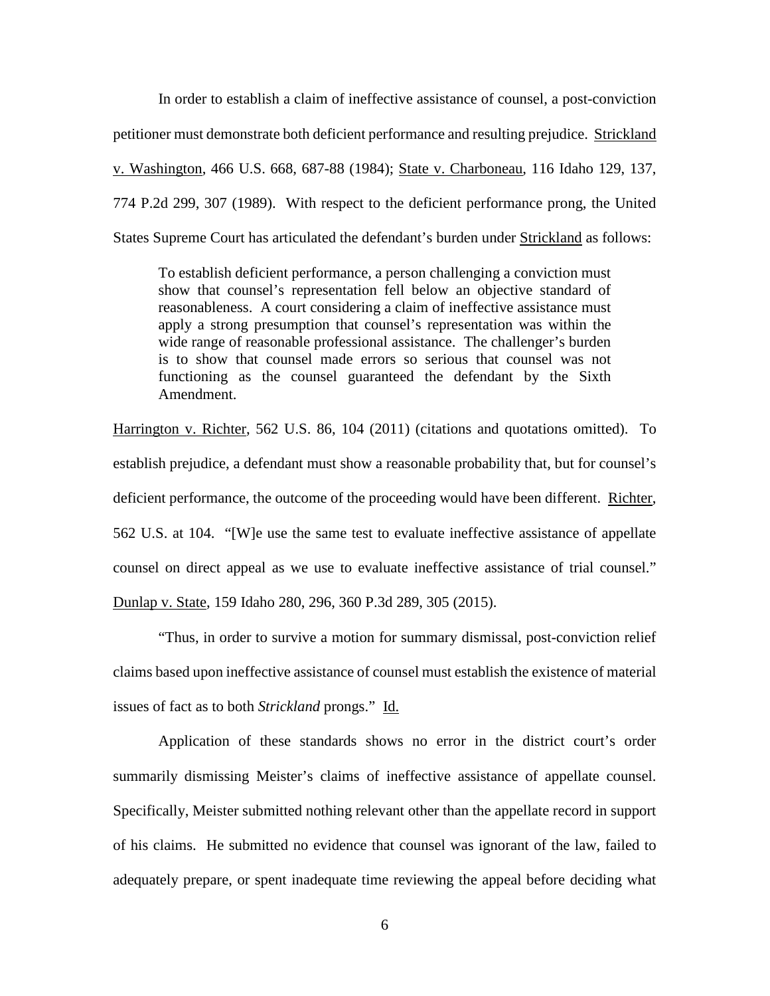In order to establish a claim of ineffective assistance of counsel, a post-conviction petitioner must demonstrate both deficient performance and resulting prejudice. Strickland v. Washington, 466 U.S. 668, 687-88 (1984); State v. Charboneau, 116 Idaho 129, 137, 774 P.2d 299, 307 (1989). With respect to the deficient performance prong, the United States Supreme Court has articulated the defendant's burden under Strickland as follows:

To establish deficient performance, a person challenging a conviction must show that counsel's representation fell below an objective standard of reasonableness. A court considering a claim of ineffective assistance must apply a strong presumption that counsel's representation was within the wide range of reasonable professional assistance. The challenger's burden is to show that counsel made errors so serious that counsel was not functioning as the counsel guaranteed the defendant by the Sixth Amendment.

Harrington v. Richter, 562 U.S. 86, 104 (2011) (citations and quotations omitted). To establish prejudice, a defendant must show a reasonable probability that, but for counsel's deficient performance, the outcome of the proceeding would have been different. Richter, 562 U.S. at 104. "[W]e use the same test to evaluate ineffective assistance of appellate counsel on direct appeal as we use to evaluate ineffective assistance of trial counsel." Dunlap v. State, 159 Idaho 280, 296, 360 P.3d 289, 305 (2015).

"Thus, in order to survive a motion for summary dismissal, post-conviction relief claims based upon ineffective assistance of counsel must establish the existence of material issues of fact as to both *Strickland* prongs." Id.

Application of these standards shows no error in the district court's order summarily dismissing Meister's claims of ineffective assistance of appellate counsel. Specifically, Meister submitted nothing relevant other than the appellate record in support of his claims. He submitted no evidence that counsel was ignorant of the law, failed to adequately prepare, or spent inadequate time reviewing the appeal before deciding what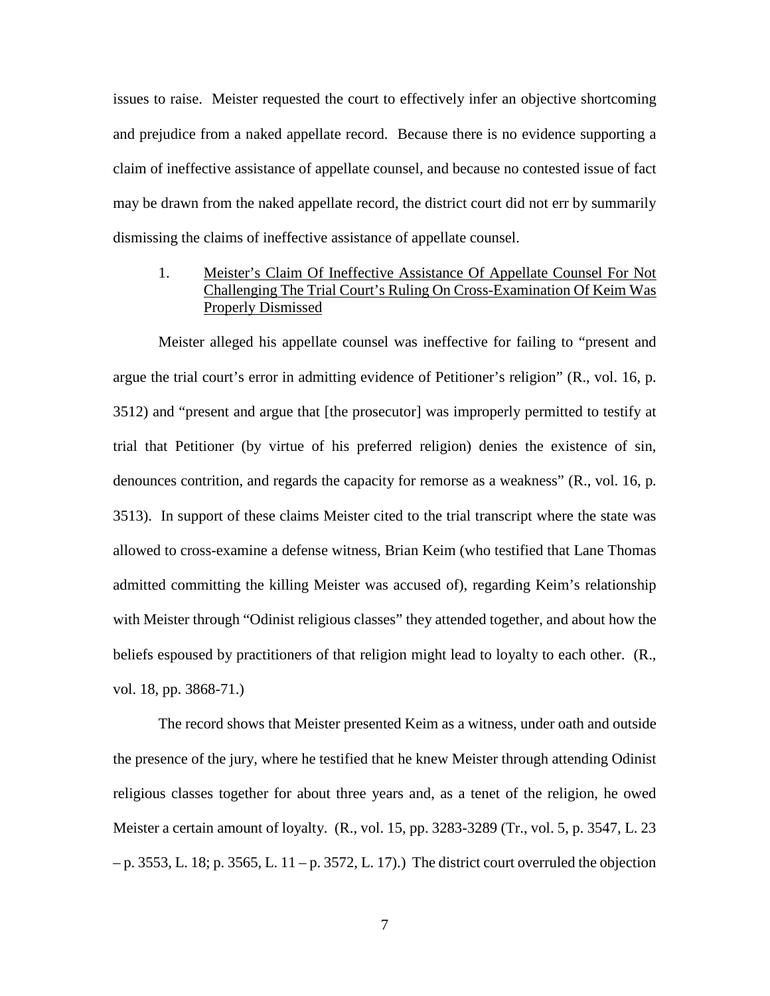issues to raise. Meister requested the court to effectively infer an objective shortcoming and prejudice from a naked appellate record. Because there is no evidence supporting a claim of ineffective assistance of appellate counsel, and because no contested issue of fact may be drawn from the naked appellate record, the district court did not err by summarily dismissing the claims of ineffective assistance of appellate counsel.

1. Meister's Claim Of Ineffective Assistance Of Appellate Counsel For Not Challenging The Trial Court's Ruling On Cross-Examination Of Keim Was Properly Dismissed

Meister alleged his appellate counsel was ineffective for failing to "present and argue the trial court's error in admitting evidence of Petitioner's religion" (R., vol. 16, p. 3512) and "present and argue that [the prosecutor] was improperly permitted to testify at trial that Petitioner (by virtue of his preferred religion) denies the existence of sin, denounces contrition, and regards the capacity for remorse as a weakness" (R., vol. 16, p. 3513). In support of these claims Meister cited to the trial transcript where the state was allowed to cross-examine a defense witness, Brian Keim (who testified that Lane Thomas admitted committing the killing Meister was accused of), regarding Keim's relationship with Meister through "Odinist religious classes" they attended together, and about how the beliefs espoused by practitioners of that religion might lead to loyalty to each other. (R., vol. 18, pp. 3868-71.)

The record shows that Meister presented Keim as a witness, under oath and outside the presence of the jury, where he testified that he knew Meister through attending Odinist religious classes together for about three years and, as a tenet of the religion, he owed Meister a certain amount of loyalty. (R., vol. 15, pp. 3283-3289 (Tr., vol. 5, p. 3547, L. 23  $-p. 3553$ , L. 18; p. 3565, L. 11 – p. 3572, L. 17).) The district court overruled the objection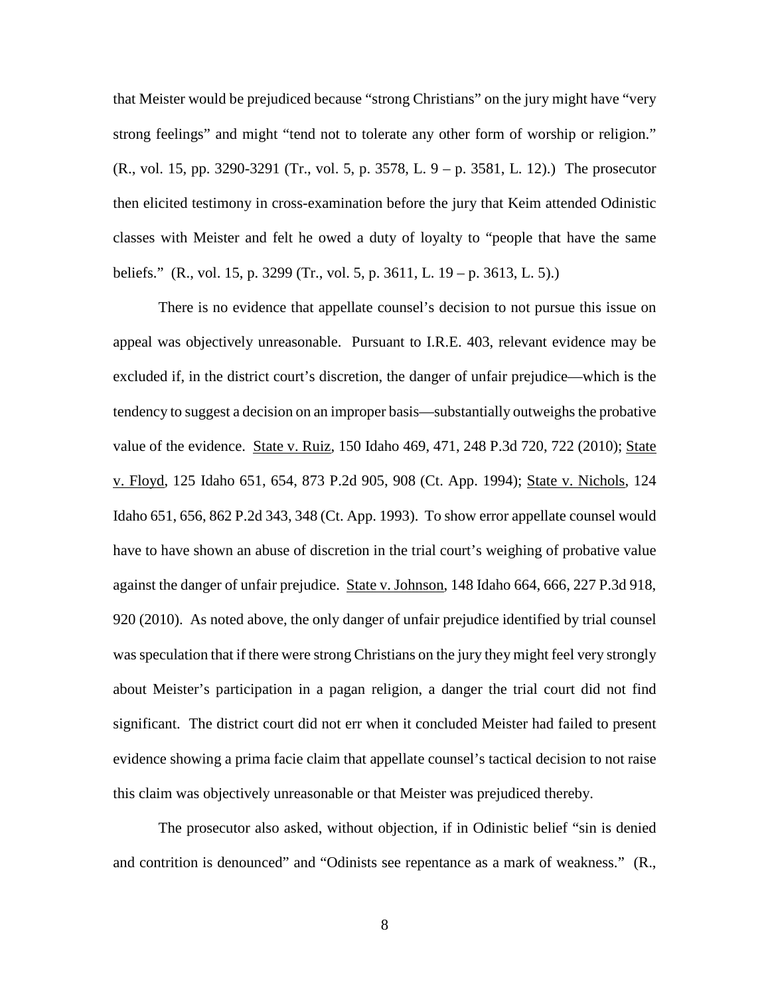that Meister would be prejudiced because "strong Christians" on the jury might have "very strong feelings" and might "tend not to tolerate any other form of worship or religion." (R., vol. 15, pp. 3290-3291 (Tr., vol. 5, p. 3578, L. 9 – p. 3581, L. 12).) The prosecutor then elicited testimony in cross-examination before the jury that Keim attended Odinistic classes with Meister and felt he owed a duty of loyalty to "people that have the same beliefs." (R., vol. 15, p. 3299 (Tr., vol. 5, p. 3611, L. 19 – p. 3613, L. 5).)

There is no evidence that appellate counsel's decision to not pursue this issue on appeal was objectively unreasonable. Pursuant to I.R.E. 403, relevant evidence may be excluded if, in the district court's discretion, the danger of unfair prejudice—which is the tendency to suggest a decision on an improper basis—substantially outweighs the probative value of the evidence. State v. Ruiz, 150 Idaho 469, 471, 248 P.3d 720, 722 (2010); State v. Floyd, 125 Idaho 651, 654, 873 P.2d 905, 908 (Ct. App. 1994); State v. Nichols, 124 Idaho 651, 656, 862 P.2d 343, 348 (Ct. App. 1993). To show error appellate counsel would have to have shown an abuse of discretion in the trial court's weighing of probative value against the danger of unfair prejudice. State v. Johnson, 148 Idaho 664, 666, 227 P.3d 918, 920 (2010). As noted above, the only danger of unfair prejudice identified by trial counsel was speculation that if there were strong Christians on the jury they might feel very strongly about Meister's participation in a pagan religion, a danger the trial court did not find significant. The district court did not err when it concluded Meister had failed to present evidence showing a prima facie claim that appellate counsel's tactical decision to not raise this claim was objectively unreasonable or that Meister was prejudiced thereby.

The prosecutor also asked, without objection, if in Odinistic belief "sin is denied and contrition is denounced" and "Odinists see repentance as a mark of weakness." (R.,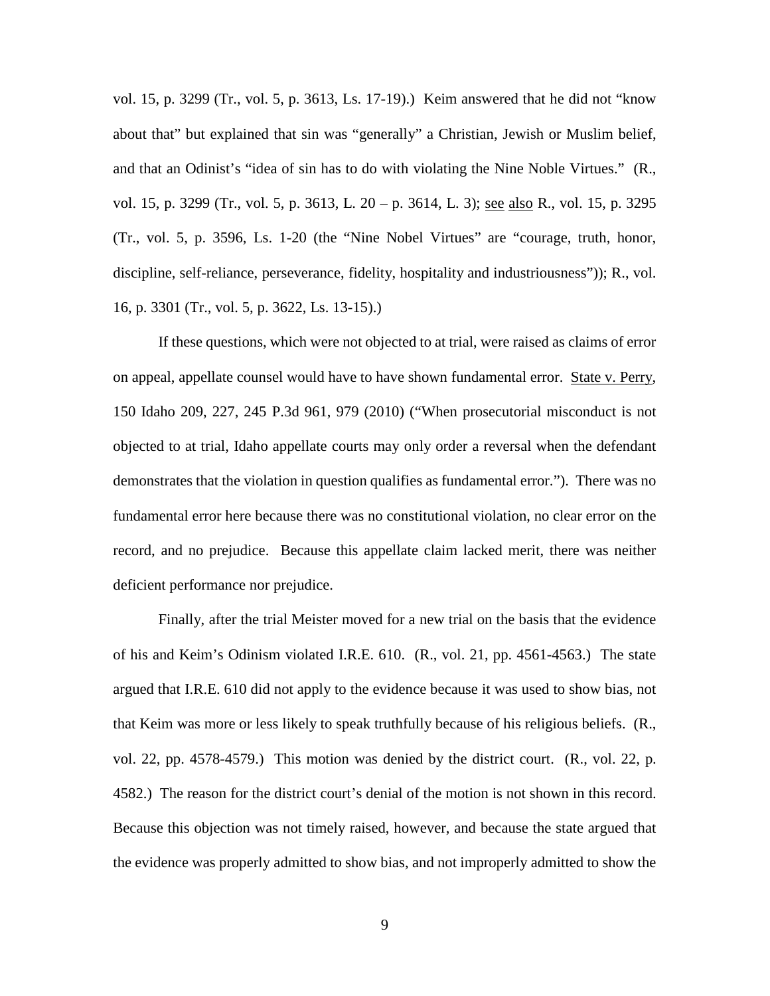vol. 15, p. 3299 (Tr., vol. 5, p. 3613, Ls. 17-19).) Keim answered that he did not "know about that" but explained that sin was "generally" a Christian, Jewish or Muslim belief, and that an Odinist's "idea of sin has to do with violating the Nine Noble Virtues." (R., vol. 15, p. 3299 (Tr., vol. 5, p. 3613, L. 20 – p. 3614, L. 3); see also R., vol. 15, p. 3295 (Tr., vol. 5, p. 3596, Ls. 1-20 (the "Nine Nobel Virtues" are "courage, truth, honor, discipline, self-reliance, perseverance, fidelity, hospitality and industriousness")); R., vol. 16, p. 3301 (Tr., vol. 5, p. 3622, Ls. 13-15).)

If these questions, which were not objected to at trial, were raised as claims of error on appeal, appellate counsel would have to have shown fundamental error. State v. Perry, 150 Idaho 209, 227, 245 P.3d 961, 979 (2010) ("When prosecutorial misconduct is not objected to at trial, Idaho appellate courts may only order a reversal when the defendant demonstrates that the violation in question qualifies as fundamental error."). There was no fundamental error here because there was no constitutional violation, no clear error on the record, and no prejudice. Because this appellate claim lacked merit, there was neither deficient performance nor prejudice.

Finally, after the trial Meister moved for a new trial on the basis that the evidence of his and Keim's Odinism violated I.R.E. 610. (R., vol. 21, pp. 4561-4563.) The state argued that I.R.E. 610 did not apply to the evidence because it was used to show bias, not that Keim was more or less likely to speak truthfully because of his religious beliefs. (R., vol. 22, pp. 4578-4579.) This motion was denied by the district court. (R., vol. 22, p. 4582.) The reason for the district court's denial of the motion is not shown in this record. Because this objection was not timely raised, however, and because the state argued that the evidence was properly admitted to show bias, and not improperly admitted to show the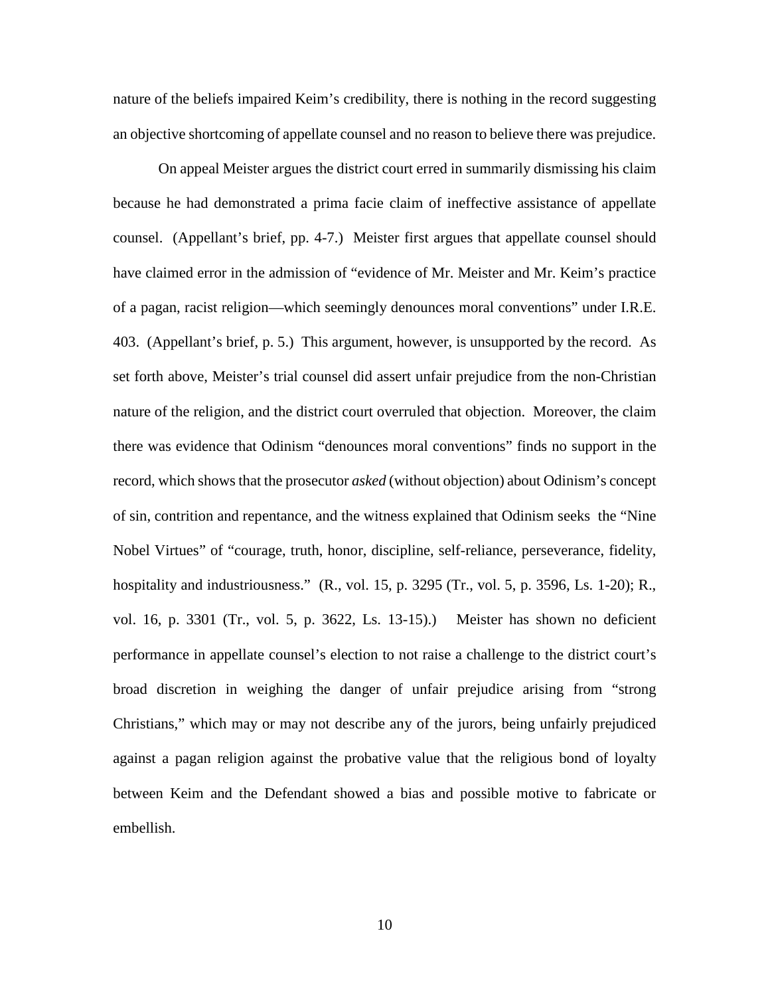nature of the beliefs impaired Keim's credibility, there is nothing in the record suggesting an objective shortcoming of appellate counsel and no reason to believe there was prejudice.

On appeal Meister argues the district court erred in summarily dismissing his claim because he had demonstrated a prima facie claim of ineffective assistance of appellate counsel. (Appellant's brief, pp. 4-7.) Meister first argues that appellate counsel should have claimed error in the admission of "evidence of Mr. Meister and Mr. Keim's practice of a pagan, racist religion—which seemingly denounces moral conventions" under I.R.E. 403. (Appellant's brief, p. 5.) This argument, however, is unsupported by the record. As set forth above, Meister's trial counsel did assert unfair prejudice from the non-Christian nature of the religion, and the district court overruled that objection. Moreover, the claim there was evidence that Odinism "denounces moral conventions" finds no support in the record, which shows that the prosecutor *asked* (without objection) about Odinism's concept of sin, contrition and repentance, and the witness explained that Odinism seeks the "Nine Nobel Virtues" of "courage, truth, honor, discipline, self-reliance, perseverance, fidelity, hospitality and industriousness." (R., vol. 15, p. 3295 (Tr., vol. 5, p. 3596, Ls. 1-20); R., vol. 16, p. 3301 (Tr., vol. 5, p. 3622, Ls. 13-15).) Meister has shown no deficient performance in appellate counsel's election to not raise a challenge to the district court's broad discretion in weighing the danger of unfair prejudice arising from "strong Christians," which may or may not describe any of the jurors, being unfairly prejudiced against a pagan religion against the probative value that the religious bond of loyalty between Keim and the Defendant showed a bias and possible motive to fabricate or embellish.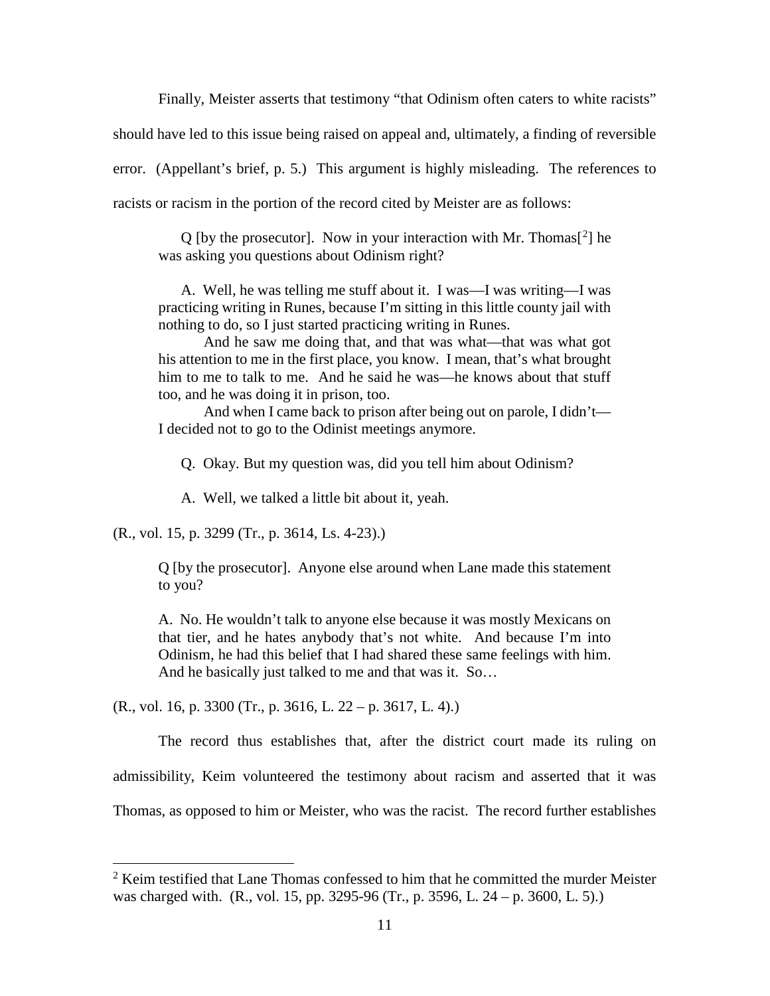Finally, Meister asserts that testimony "that Odinism often caters to white racists"

should have led to this issue being raised on appeal and, ultimately, a finding of reversible

error. (Appellant's brief, p. 5.) This argument is highly misleading. The references to

racists or racism in the portion of the record cited by Meister are as follows:

Q [by the prosecutor]. Now in your interaction with Mr. Thomas<sup>[[2](#page-17-0)]</sup> he was asking you questions about Odinism right?

A. Well, he was telling me stuff about it. I was—I was writing—I was practicing writing in Runes, because I'm sitting in this little county jail with nothing to do, so I just started practicing writing in Runes.

And he saw me doing that, and that was what—that was what got his attention to me in the first place, you know. I mean, that's what brought him to me to talk to me. And he said he was—he knows about that stuff too, and he was doing it in prison, too.

And when I came back to prison after being out on parole, I didn't— I decided not to go to the Odinist meetings anymore.

Q. Okay. But my question was, did you tell him about Odinism?

A. Well, we talked a little bit about it, yeah.

(R., vol. 15, p. 3299 (Tr., p. 3614, Ls. 4-23).)

 $\overline{a}$ 

Q [by the prosecutor]. Anyone else around when Lane made this statement to you?

A. No. He wouldn't talk to anyone else because it was mostly Mexicans on that tier, and he hates anybody that's not white. And because I'm into Odinism, he had this belief that I had shared these same feelings with him. And he basically just talked to me and that was it. So…

 $(R., vol. 16, p. 3300 (Tr., p. 3616, L. 22 - p. 3617, L. 4).)$ 

The record thus establishes that, after the district court made its ruling on admissibility, Keim volunteered the testimony about racism and asserted that it was Thomas, as opposed to him or Meister, who was the racist. The record further establishes

<span id="page-17-0"></span> $2$  Keim testified that Lane Thomas confessed to him that he committed the murder Meister was charged with. (R., vol. 15, pp. 3295-96 (Tr., p. 3596, L. 24 – p. 3600, L. 5).)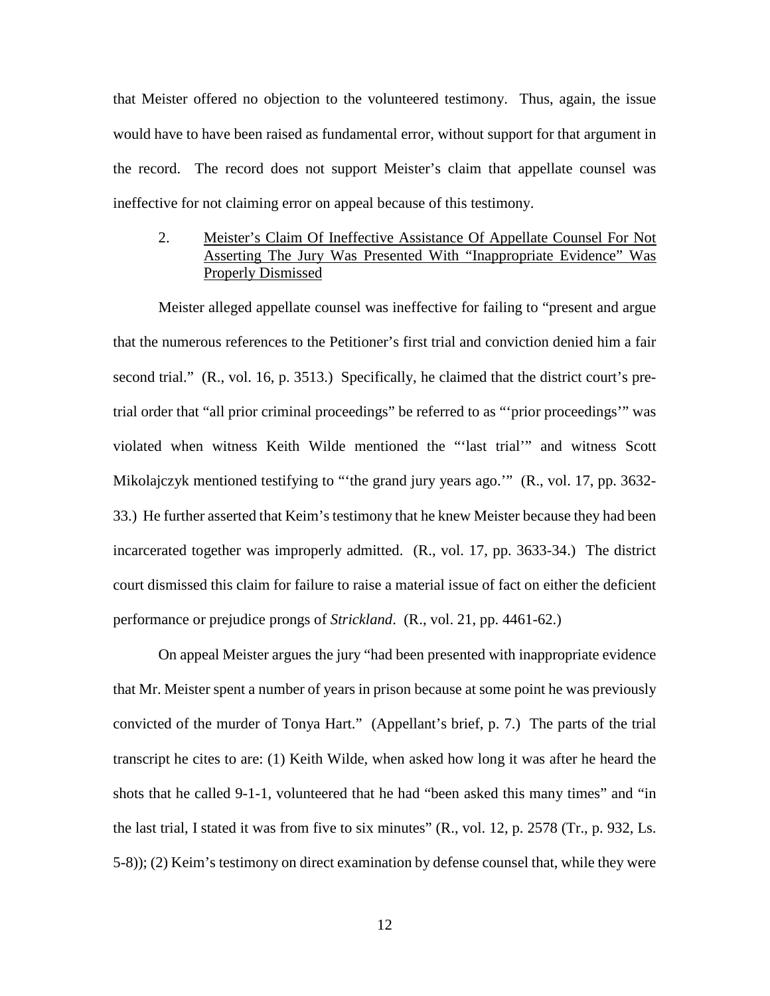that Meister offered no objection to the volunteered testimony. Thus, again, the issue would have to have been raised as fundamental error, without support for that argument in the record. The record does not support Meister's claim that appellate counsel was ineffective for not claiming error on appeal because of this testimony.

## 2. Meister's Claim Of Ineffective Assistance Of Appellate Counsel For Not Asserting The Jury Was Presented With "Inappropriate Evidence" Was Properly Dismissed

Meister alleged appellate counsel was ineffective for failing to "present and argue that the numerous references to the Petitioner's first trial and conviction denied him a fair second trial." (R., vol. 16, p. 3513.) Specifically, he claimed that the district court's pretrial order that "all prior criminal proceedings" be referred to as "'prior proceedings'" was violated when witness Keith Wilde mentioned the "'last trial'" and witness Scott Mikolajczyk mentioned testifying to "'the grand jury years ago.'" (R., vol. 17, pp. 3632- 33.) He further asserted that Keim's testimony that he knew Meister because they had been incarcerated together was improperly admitted. (R., vol. 17, pp. 3633-34.) The district court dismissed this claim for failure to raise a material issue of fact on either the deficient performance or prejudice prongs of *Strickland*. (R., vol. 21, pp. 4461-62.)

On appeal Meister argues the jury "had been presented with inappropriate evidence that Mr. Meister spent a number of years in prison because at some point he was previously convicted of the murder of Tonya Hart." (Appellant's brief, p. 7.) The parts of the trial transcript he cites to are: (1) Keith Wilde, when asked how long it was after he heard the shots that he called 9-1-1, volunteered that he had "been asked this many times" and "in the last trial, I stated it was from five to six minutes" (R., vol. 12, p. 2578 (Tr., p. 932, Ls. 5-8)); (2) Keim's testimony on direct examination by defense counsel that, while they were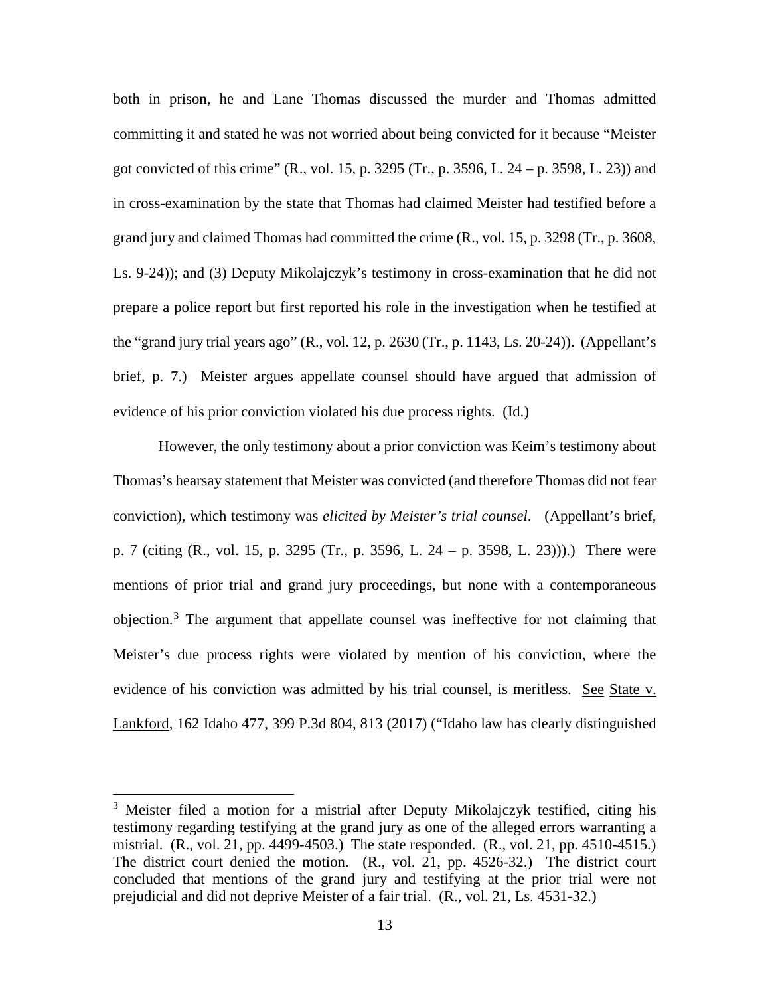both in prison, he and Lane Thomas discussed the murder and Thomas admitted committing it and stated he was not worried about being convicted for it because "Meister got convicted of this crime" (R., vol. 15, p. 3295 (Tr., p. 3596, L. 24 – p. 3598, L. 23)) and in cross-examination by the state that Thomas had claimed Meister had testified before a grand jury and claimed Thomas had committed the crime (R., vol. 15, p. 3298 (Tr., p. 3608, Ls. 9-24)); and (3) Deputy Mikolajczyk's testimony in cross-examination that he did not prepare a police report but first reported his role in the investigation when he testified at the "grand jury trial years ago" (R., vol. 12, p. 2630 (Tr., p. 1143, Ls. 20-24)). (Appellant's brief, p. 7.) Meister argues appellate counsel should have argued that admission of evidence of his prior conviction violated his due process rights. (Id.)

However, the only testimony about a prior conviction was Keim's testimony about Thomas's hearsay statement that Meister was convicted (and therefore Thomas did not fear conviction), which testimony was *elicited by Meister's trial counsel*. (Appellant's brief, p. 7 (citing (R., vol. 15, p. 3295 (Tr., p. 3596, L. 24 – p. 3598, L. 23))).) There were mentions of prior trial and grand jury proceedings, but none with a contemporaneous objection.[3](#page-19-0) The argument that appellate counsel was ineffective for not claiming that Meister's due process rights were violated by mention of his conviction, where the evidence of his conviction was admitted by his trial counsel, is meritless. See State v. Lankford, 162 Idaho 477, 399 P.3d 804, 813 (2017) ("Idaho law has clearly distinguished

 $\overline{a}$ 

<span id="page-19-0"></span><sup>&</sup>lt;sup>3</sup> Meister filed a motion for a mistrial after Deputy Mikolajczyk testified, citing his testimony regarding testifying at the grand jury as one of the alleged errors warranting a mistrial. (R., vol. 21, pp. 4499-4503.) The state responded. (R., vol. 21, pp. 4510-4515.) The district court denied the motion. (R., vol. 21, pp. 4526-32.) The district court concluded that mentions of the grand jury and testifying at the prior trial were not prejudicial and did not deprive Meister of a fair trial. (R., vol. 21, Ls. 4531-32.)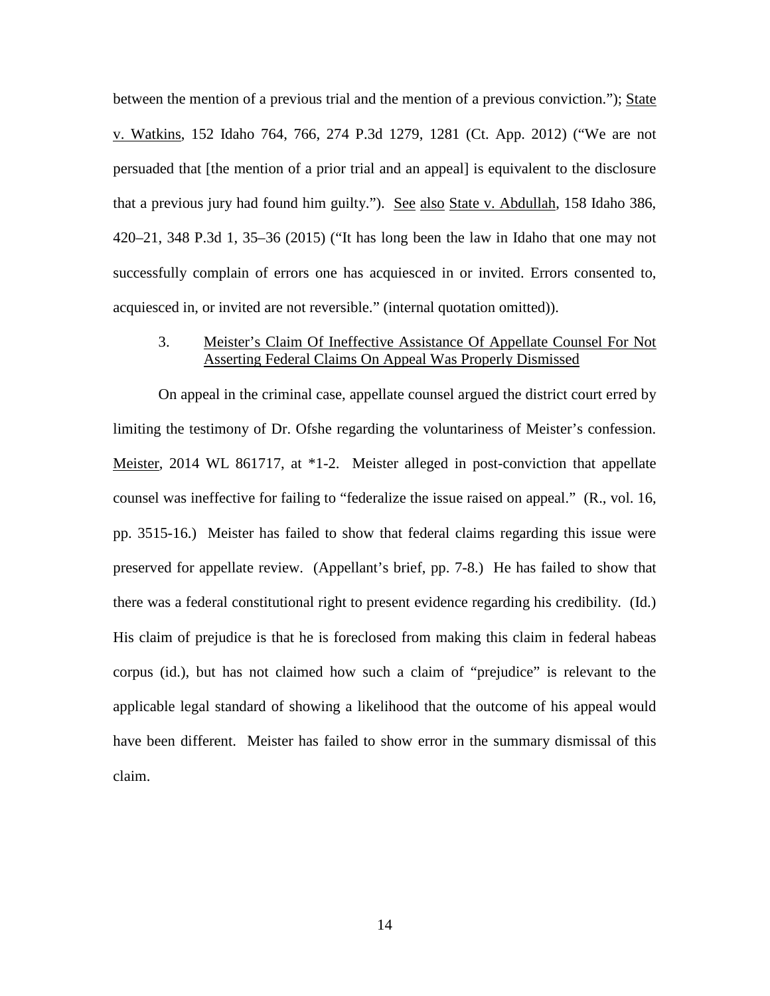between the mention of a previous trial and the mention of a previous conviction."); State v. Watkins, 152 Idaho 764, 766, 274 P.3d 1279, 1281 (Ct. App. 2012) ("We are not persuaded that [the mention of a prior trial and an appeal] is equivalent to the disclosure that a previous jury had found him guilty."). See also State v. Abdullah, 158 Idaho 386, 420–21, 348 P.3d 1, 35–36 (2015) ("It has long been the law in Idaho that one may not successfully complain of errors one has acquiesced in or invited. Errors consented to, acquiesced in, or invited are not reversible." (internal quotation omitted)).

#### 3. Meister's Claim Of Ineffective Assistance Of Appellate Counsel For Not Asserting Federal Claims On Appeal Was Properly Dismissed

On appeal in the criminal case, appellate counsel argued the district court erred by limiting the testimony of Dr. Ofshe regarding the voluntariness of Meister's confession. Meister, 2014 WL 861717, at \*1-2. Meister alleged in post-conviction that appellate counsel was ineffective for failing to "federalize the issue raised on appeal." (R., vol. 16, pp. 3515-16.) Meister has failed to show that federal claims regarding this issue were preserved for appellate review. (Appellant's brief, pp. 7-8.) He has failed to show that there was a federal constitutional right to present evidence regarding his credibility. (Id.) His claim of prejudice is that he is foreclosed from making this claim in federal habeas corpus (id.), but has not claimed how such a claim of "prejudice" is relevant to the applicable legal standard of showing a likelihood that the outcome of his appeal would have been different. Meister has failed to show error in the summary dismissal of this claim.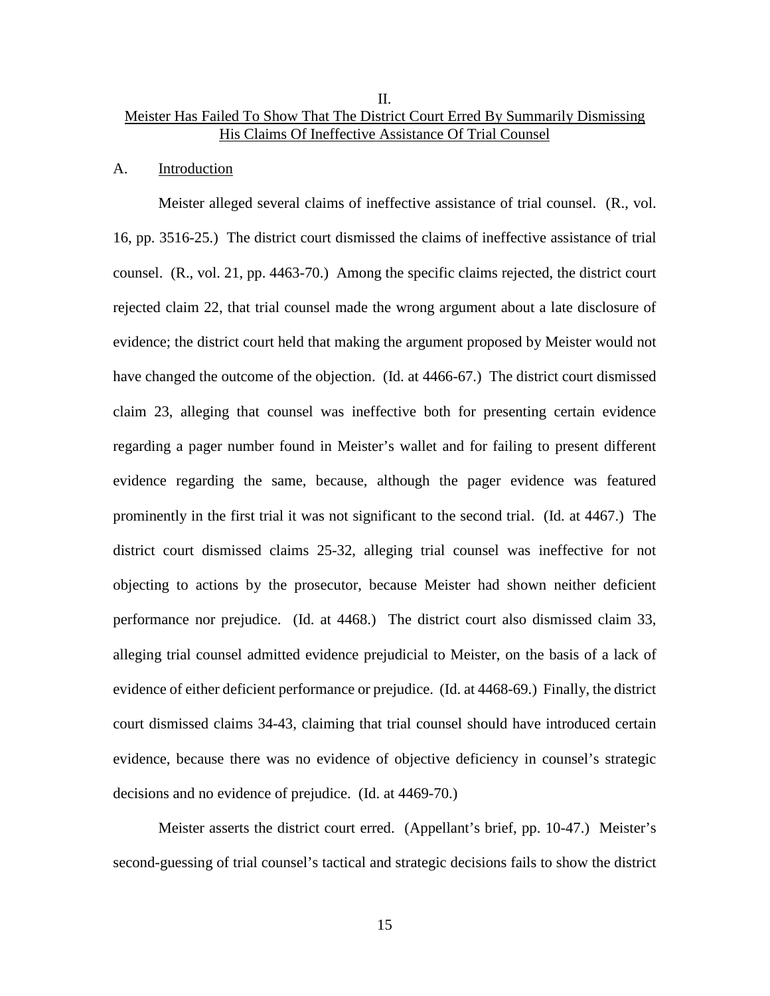### II. Meister Has Failed To Show That The District Court Erred By Summarily Dismissing His Claims Of Ineffective Assistance Of Trial Counsel

#### A. Introduction

Meister alleged several claims of ineffective assistance of trial counsel. (R., vol. 16, pp. 3516-25.) The district court dismissed the claims of ineffective assistance of trial counsel. (R., vol. 21, pp. 4463-70.) Among the specific claims rejected, the district court rejected claim 22, that trial counsel made the wrong argument about a late disclosure of evidence; the district court held that making the argument proposed by Meister would not have changed the outcome of the objection. (Id. at 4466-67.) The district court dismissed claim 23, alleging that counsel was ineffective both for presenting certain evidence regarding a pager number found in Meister's wallet and for failing to present different evidence regarding the same, because, although the pager evidence was featured prominently in the first trial it was not significant to the second trial. (Id. at 4467.) The district court dismissed claims 25-32, alleging trial counsel was ineffective for not objecting to actions by the prosecutor, because Meister had shown neither deficient performance nor prejudice. (Id. at 4468.) The district court also dismissed claim 33, alleging trial counsel admitted evidence prejudicial to Meister, on the basis of a lack of evidence of either deficient performance or prejudice. (Id. at 4468-69.) Finally, the district court dismissed claims 34-43, claiming that trial counsel should have introduced certain evidence, because there was no evidence of objective deficiency in counsel's strategic decisions and no evidence of prejudice. (Id. at 4469-70.)

Meister asserts the district court erred. (Appellant's brief, pp. 10-47.) Meister's second-guessing of trial counsel's tactical and strategic decisions fails to show the district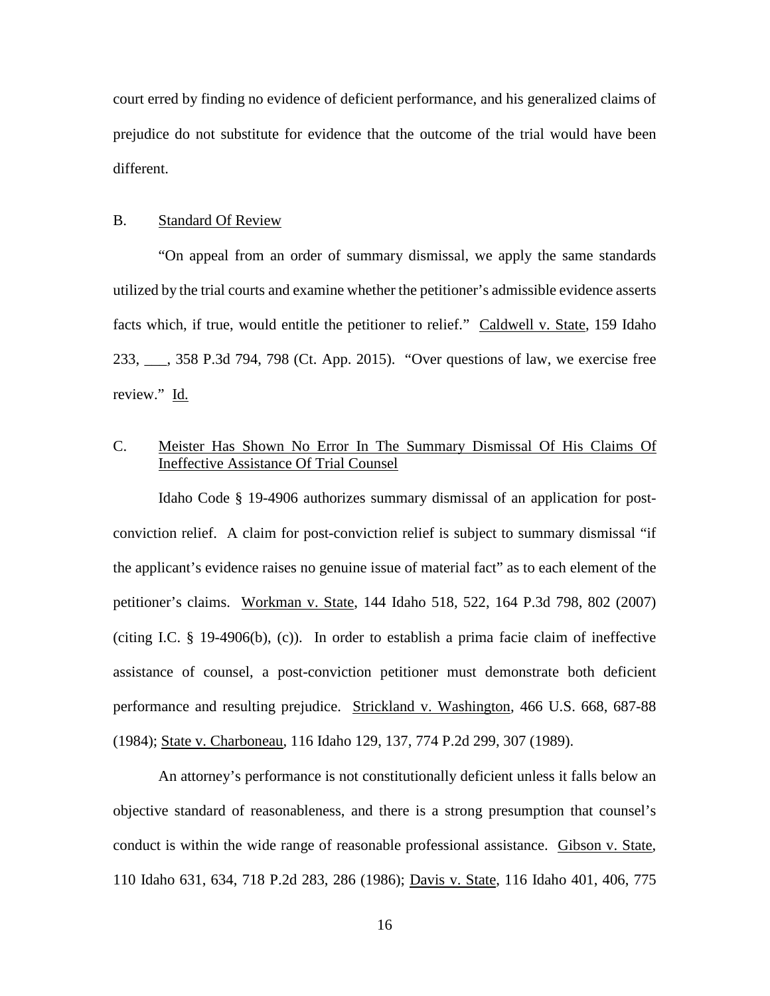court erred by finding no evidence of deficient performance, and his generalized claims of prejudice do not substitute for evidence that the outcome of the trial would have been different.

## B. Standard Of Review

"On appeal from an order of summary dismissal, we apply the same standards utilized by the trial courts and examine whether the petitioner's admissible evidence asserts facts which, if true, would entitle the petitioner to relief." Caldwell v. State, 159 Idaho 233, \_\_\_, 358 P.3d 794, 798 (Ct. App. 2015). "Over questions of law, we exercise free review." Id.

## C. Meister Has Shown No Error In The Summary Dismissal Of His Claims Of Ineffective Assistance Of Trial Counsel

Idaho Code § 19-4906 authorizes summary dismissal of an application for postconviction relief. A claim for post-conviction relief is subject to summary dismissal "if the applicant's evidence raises no genuine issue of material fact" as to each element of the petitioner's claims. Workman v. State, 144 Idaho 518, 522, 164 P.3d 798, 802 (2007) (citing I.C. § 19-4906(b), (c)). In order to establish a prima facie claim of ineffective assistance of counsel, a post-conviction petitioner must demonstrate both deficient performance and resulting prejudice. Strickland v. Washington, 466 U.S. 668, 687-88 (1984); State v. Charboneau, 116 Idaho 129, 137, 774 P.2d 299, 307 (1989).

An attorney's performance is not constitutionally deficient unless it falls below an objective standard of reasonableness, and there is a strong presumption that counsel's conduct is within the wide range of reasonable professional assistance. Gibson v. State, 110 Idaho 631, 634, 718 P.2d 283, 286 (1986); Davis v. State, 116 Idaho 401, 406, 775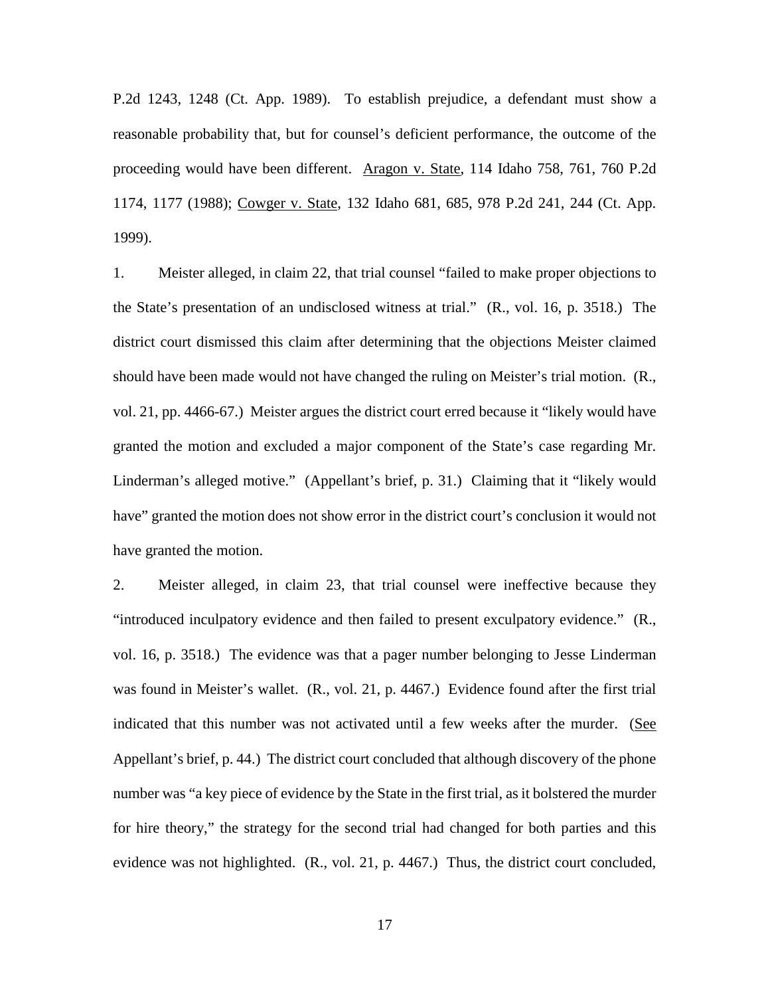P.2d 1243, 1248 (Ct. App. 1989). To establish prejudice, a defendant must show a reasonable probability that, but for counsel's deficient performance, the outcome of the proceeding would have been different. Aragon v. State, 114 Idaho 758, 761, 760 P.2d 1174, 1177 (1988); Cowger v. State, 132 Idaho 681, 685, 978 P.2d 241, 244 (Ct. App. 1999).

1. Meister alleged, in claim 22, that trial counsel "failed to make proper objections to the State's presentation of an undisclosed witness at trial." (R., vol. 16, p. 3518.) The district court dismissed this claim after determining that the objections Meister claimed should have been made would not have changed the ruling on Meister's trial motion. (R., vol. 21, pp. 4466-67.) Meister argues the district court erred because it "likely would have granted the motion and excluded a major component of the State's case regarding Mr. Linderman's alleged motive." (Appellant's brief, p. 31.) Claiming that it "likely would have" granted the motion does not show error in the district court's conclusion it would not have granted the motion.

2. Meister alleged, in claim 23, that trial counsel were ineffective because they "introduced inculpatory evidence and then failed to present exculpatory evidence." (R., vol. 16, p. 3518.) The evidence was that a pager number belonging to Jesse Linderman was found in Meister's wallet. (R., vol. 21, p. 4467.) Evidence found after the first trial indicated that this number was not activated until a few weeks after the murder. (See Appellant's brief, p. 44.) The district court concluded that although discovery of the phone number was "a key piece of evidence by the State in the first trial, as it bolstered the murder for hire theory," the strategy for the second trial had changed for both parties and this evidence was not highlighted. (R., vol. 21, p. 4467.) Thus, the district court concluded,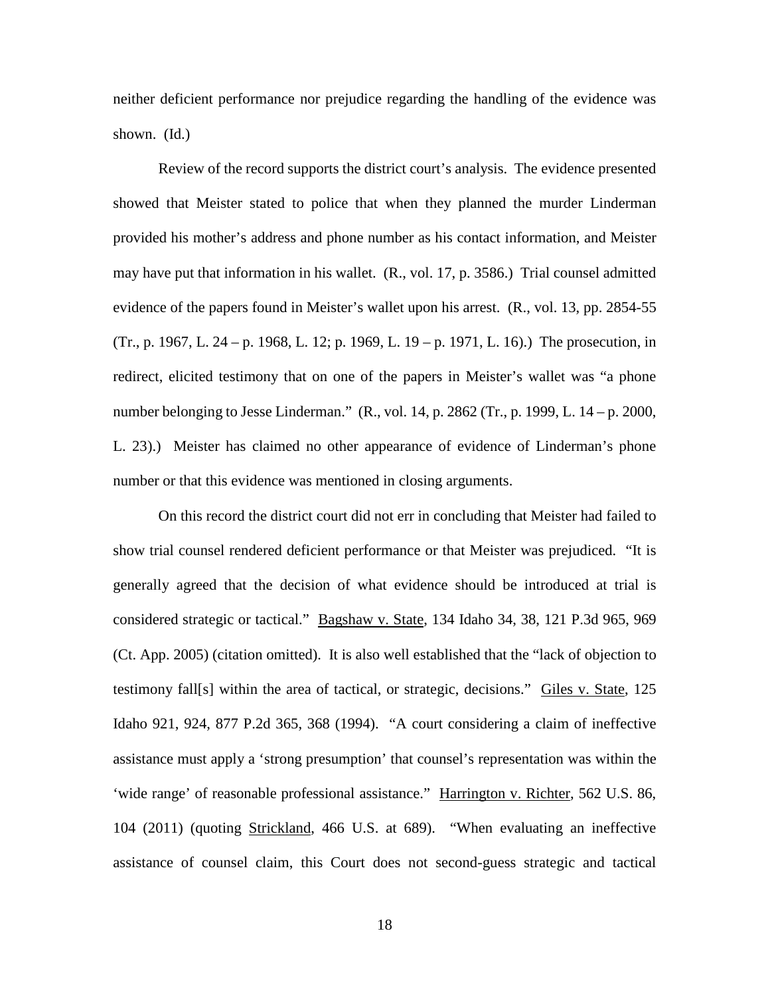neither deficient performance nor prejudice regarding the handling of the evidence was shown. (Id.)

Review of the record supports the district court's analysis. The evidence presented showed that Meister stated to police that when they planned the murder Linderman provided his mother's address and phone number as his contact information, and Meister may have put that information in his wallet. (R., vol. 17, p. 3586.) Trial counsel admitted evidence of the papers found in Meister's wallet upon his arrest. (R., vol. 13, pp. 2854-55 (Tr., p. 1967, L. 24 – p. 1968, L. 12; p. 1969, L. 19 – p. 1971, L. 16).) The prosecution, in redirect, elicited testimony that on one of the papers in Meister's wallet was "a phone number belonging to Jesse Linderman." (R., vol. 14, p. 2862 (Tr., p. 1999, L. 14 – p. 2000, L. 23).) Meister has claimed no other appearance of evidence of Linderman's phone number or that this evidence was mentioned in closing arguments.

On this record the district court did not err in concluding that Meister had failed to show trial counsel rendered deficient performance or that Meister was prejudiced. "It is generally agreed that the decision of what evidence should be introduced at trial is considered strategic or tactical." Bagshaw v. State, 134 Idaho 34, 38, 121 P.3d 965, 969 (Ct. App. 2005) (citation omitted). It is also well established that the "lack of objection to testimony fall[s] within the area of tactical, or strategic, decisions." Giles v. State, 125 Idaho 921, 924, 877 P.2d 365, 368 (1994). "A court considering a claim of ineffective assistance must apply a 'strong presumption' that counsel's representation was within the 'wide range' of reasonable professional assistance." Harrington v. Richter, 562 U.S. 86, 104 (2011) (quoting Strickland, 466 U.S. at 689). "When evaluating an ineffective assistance of counsel claim, this Court does not second-guess strategic and tactical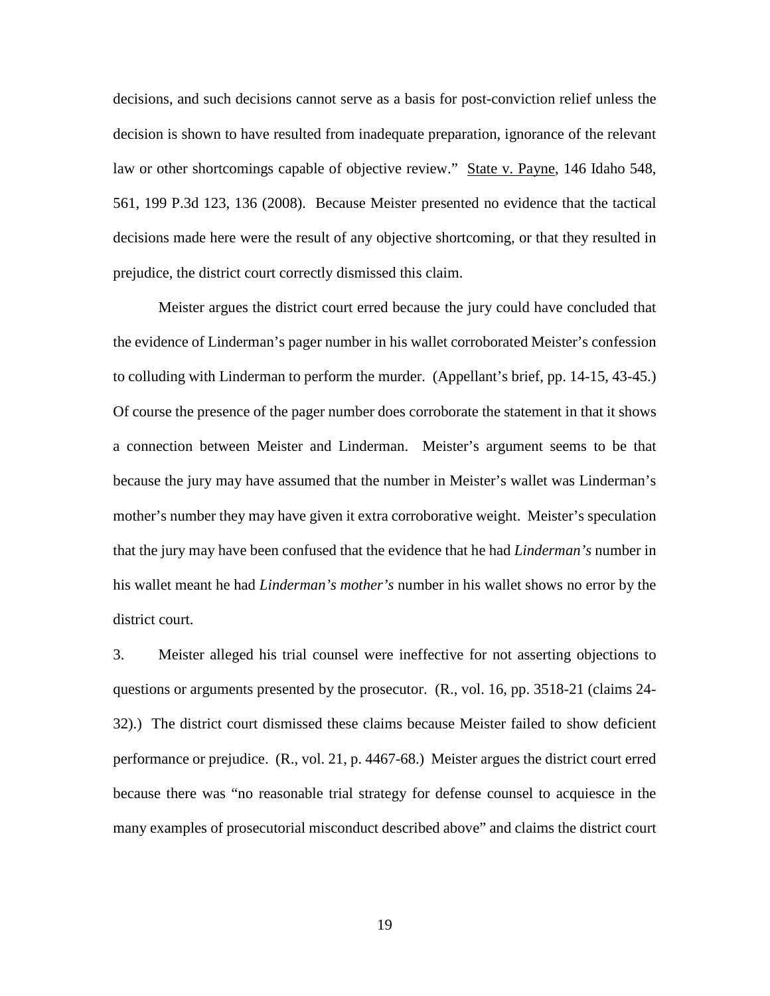decisions, and such decisions cannot serve as a basis for post-conviction relief unless the decision is shown to have resulted from inadequate preparation, ignorance of the relevant law or other shortcomings capable of objective review." State v. Payne, 146 Idaho 548, 561, 199 P.3d 123, 136 (2008). Because Meister presented no evidence that the tactical decisions made here were the result of any objective shortcoming, or that they resulted in prejudice, the district court correctly dismissed this claim.

Meister argues the district court erred because the jury could have concluded that the evidence of Linderman's pager number in his wallet corroborated Meister's confession to colluding with Linderman to perform the murder. (Appellant's brief, pp. 14-15, 43-45.) Of course the presence of the pager number does corroborate the statement in that it shows a connection between Meister and Linderman. Meister's argument seems to be that because the jury may have assumed that the number in Meister's wallet was Linderman's mother's number they may have given it extra corroborative weight. Meister's speculation that the jury may have been confused that the evidence that he had *Linderman's* number in his wallet meant he had *Linderman's mother's* number in his wallet shows no error by the district court.

3. Meister alleged his trial counsel were ineffective for not asserting objections to questions or arguments presented by the prosecutor. (R., vol. 16, pp. 3518-21 (claims 24- 32).) The district court dismissed these claims because Meister failed to show deficient performance or prejudice. (R., vol. 21, p. 4467-68.) Meister argues the district court erred because there was "no reasonable trial strategy for defense counsel to acquiesce in the many examples of prosecutorial misconduct described above" and claims the district court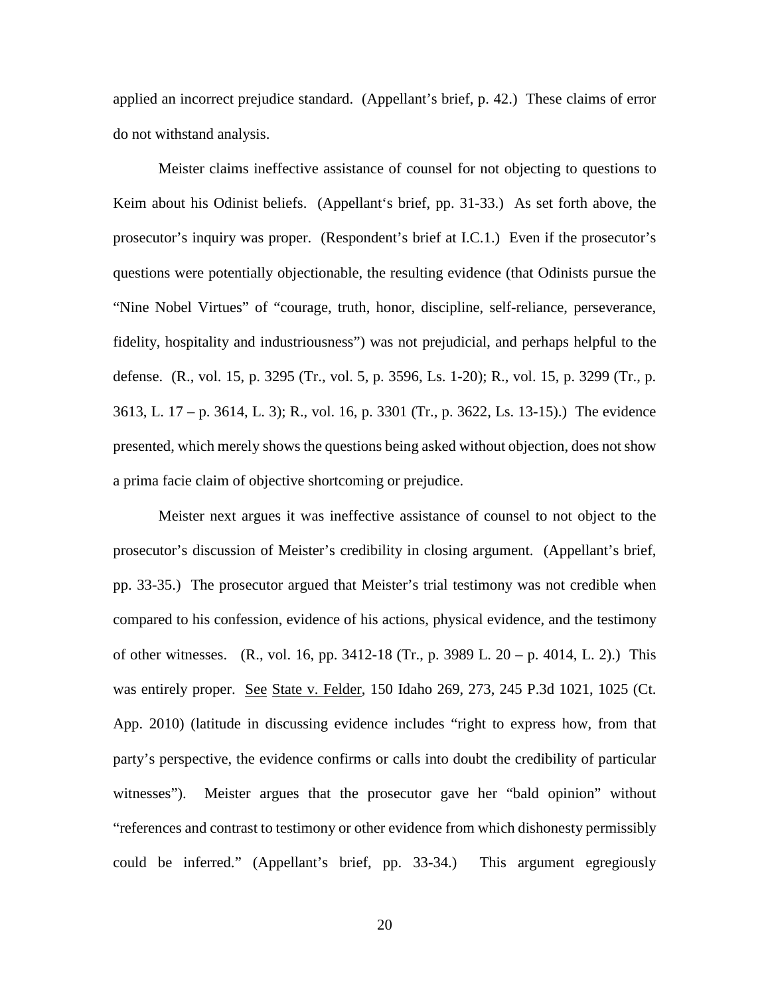applied an incorrect prejudice standard. (Appellant's brief, p. 42.) These claims of error do not withstand analysis.

Meister claims ineffective assistance of counsel for not objecting to questions to Keim about his Odinist beliefs. (Appellant's brief, pp. 31-33.) As set forth above, the prosecutor's inquiry was proper. (Respondent's brief at I.C.1.) Even if the prosecutor's questions were potentially objectionable, the resulting evidence (that Odinists pursue the "Nine Nobel Virtues" of "courage, truth, honor, discipline, self-reliance, perseverance, fidelity, hospitality and industriousness") was not prejudicial, and perhaps helpful to the defense. (R., vol. 15, p. 3295 (Tr., vol. 5, p. 3596, Ls. 1-20); R., vol. 15, p. 3299 (Tr., p. 3613, L. 17 – p. 3614, L. 3); R., vol. 16, p. 3301 (Tr., p. 3622, Ls. 13-15).) The evidence presented, which merely shows the questions being asked without objection, does not show a prima facie claim of objective shortcoming or prejudice.

Meister next argues it was ineffective assistance of counsel to not object to the prosecutor's discussion of Meister's credibility in closing argument. (Appellant's brief, pp. 33-35.) The prosecutor argued that Meister's trial testimony was not credible when compared to his confession, evidence of his actions, physical evidence, and the testimony of other witnesses. (R., vol. 16, pp. 3412-18 (Tr., p. 3989 L.  $20 - p$ . 4014, L. 2).) This was entirely proper. See State v. Felder, 150 Idaho 269, 273, 245 P.3d 1021, 1025 (Ct. App. 2010) (latitude in discussing evidence includes "right to express how, from that party's perspective, the evidence confirms or calls into doubt the credibility of particular witnesses"). Meister argues that the prosecutor gave her "bald opinion" without "references and contrast to testimony or other evidence from which dishonesty permissibly could be inferred." (Appellant's brief, pp. 33-34.) This argument egregiously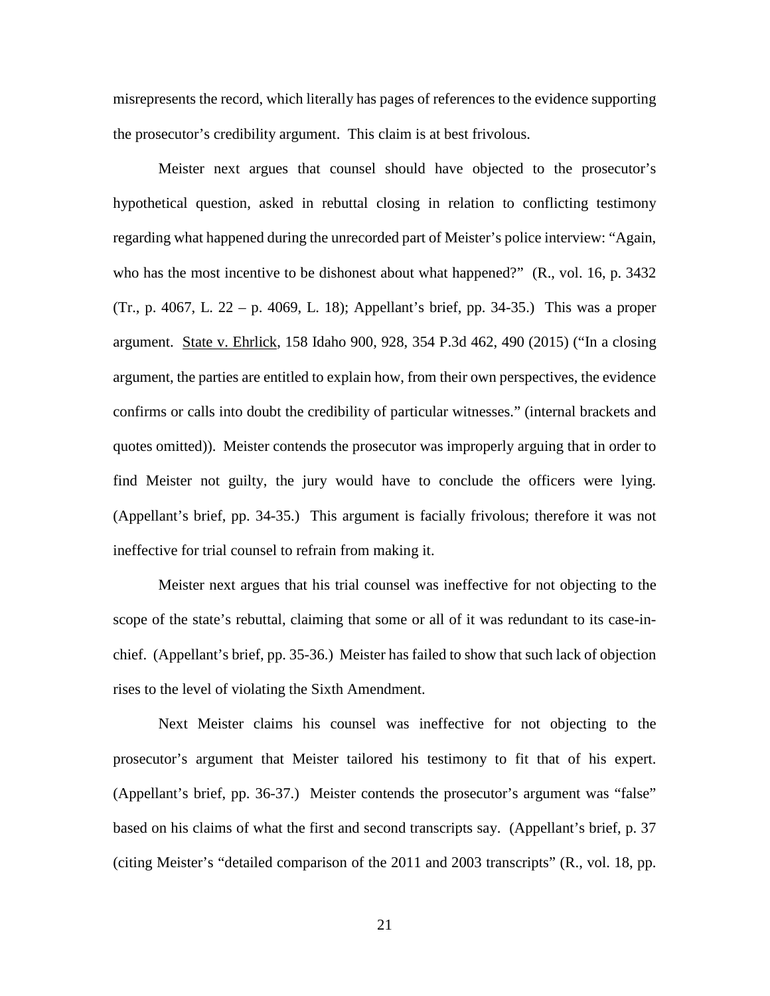misrepresents the record, which literally has pages of references to the evidence supporting the prosecutor's credibility argument. This claim is at best frivolous.

Meister next argues that counsel should have objected to the prosecutor's hypothetical question, asked in rebuttal closing in relation to conflicting testimony regarding what happened during the unrecorded part of Meister's police interview: "Again, who has the most incentive to be dishonest about what happened?" (R., vol. 16, p. 3432) (Tr., p. 4067, L. 22 – p. 4069, L. 18); Appellant's brief, pp. 34-35.) This was a proper argument. State v. Ehrlick, 158 Idaho 900, 928, 354 P.3d 462, 490 (2015) ("In a closing argument, the parties are entitled to explain how, from their own perspectives, the evidence confirms or calls into doubt the credibility of particular witnesses." (internal brackets and quotes omitted)). Meister contends the prosecutor was improperly arguing that in order to find Meister not guilty, the jury would have to conclude the officers were lying. (Appellant's brief, pp. 34-35.) This argument is facially frivolous; therefore it was not ineffective for trial counsel to refrain from making it.

Meister next argues that his trial counsel was ineffective for not objecting to the scope of the state's rebuttal, claiming that some or all of it was redundant to its case-inchief. (Appellant's brief, pp. 35-36.) Meister has failed to show that such lack of objection rises to the level of violating the Sixth Amendment.

Next Meister claims his counsel was ineffective for not objecting to the prosecutor's argument that Meister tailored his testimony to fit that of his expert. (Appellant's brief, pp. 36-37.) Meister contends the prosecutor's argument was "false" based on his claims of what the first and second transcripts say. (Appellant's brief, p. 37 (citing Meister's "detailed comparison of the 2011 and 2003 transcripts" (R., vol. 18, pp.

21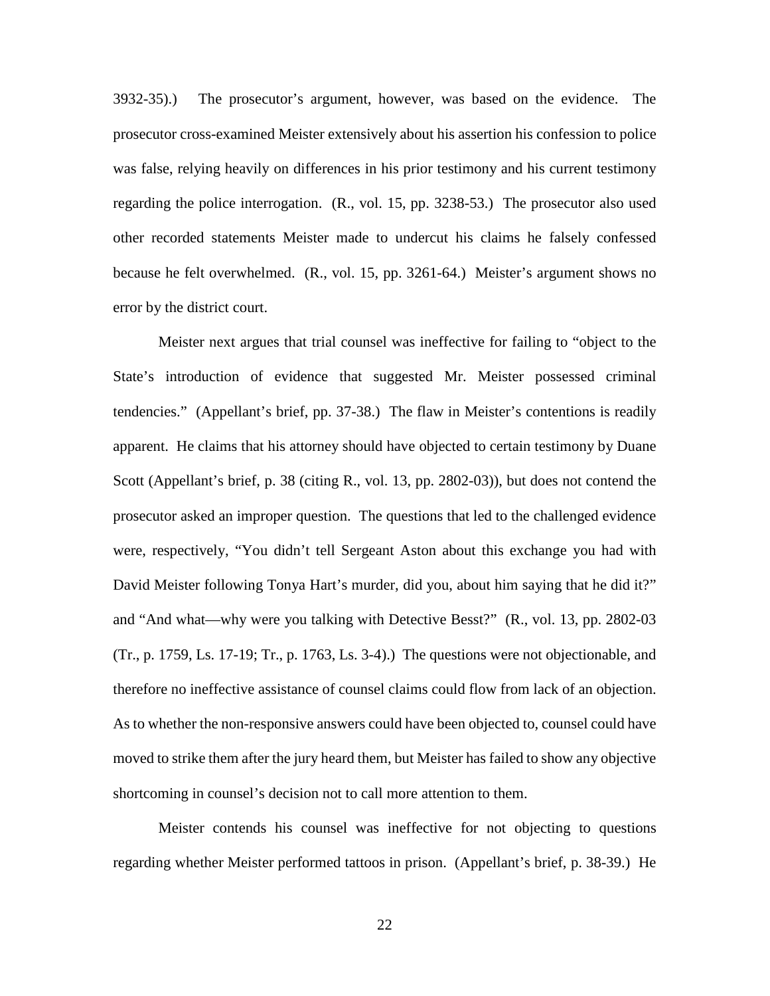3932-35).) The prosecutor's argument, however, was based on the evidence. The prosecutor cross-examined Meister extensively about his assertion his confession to police was false, relying heavily on differences in his prior testimony and his current testimony regarding the police interrogation. (R., vol. 15, pp. 3238-53.) The prosecutor also used other recorded statements Meister made to undercut his claims he falsely confessed because he felt overwhelmed. (R., vol. 15, pp. 3261-64.) Meister's argument shows no error by the district court.

Meister next argues that trial counsel was ineffective for failing to "object to the State's introduction of evidence that suggested Mr. Meister possessed criminal tendencies." (Appellant's brief, pp. 37-38.) The flaw in Meister's contentions is readily apparent. He claims that his attorney should have objected to certain testimony by Duane Scott (Appellant's brief, p. 38 (citing R., vol. 13, pp. 2802-03)), but does not contend the prosecutor asked an improper question. The questions that led to the challenged evidence were, respectively, "You didn't tell Sergeant Aston about this exchange you had with David Meister following Tonya Hart's murder, did you, about him saying that he did it?" and "And what—why were you talking with Detective Besst?" (R., vol. 13, pp. 2802-03 (Tr., p. 1759, Ls. 17-19; Tr., p. 1763, Ls. 3-4).) The questions were not objectionable, and therefore no ineffective assistance of counsel claims could flow from lack of an objection. As to whether the non-responsive answers could have been objected to, counsel could have moved to strike them after the jury heard them, but Meister has failed to show any objective shortcoming in counsel's decision not to call more attention to them.

Meister contends his counsel was ineffective for not objecting to questions regarding whether Meister performed tattoos in prison. (Appellant's brief, p. 38-39.) He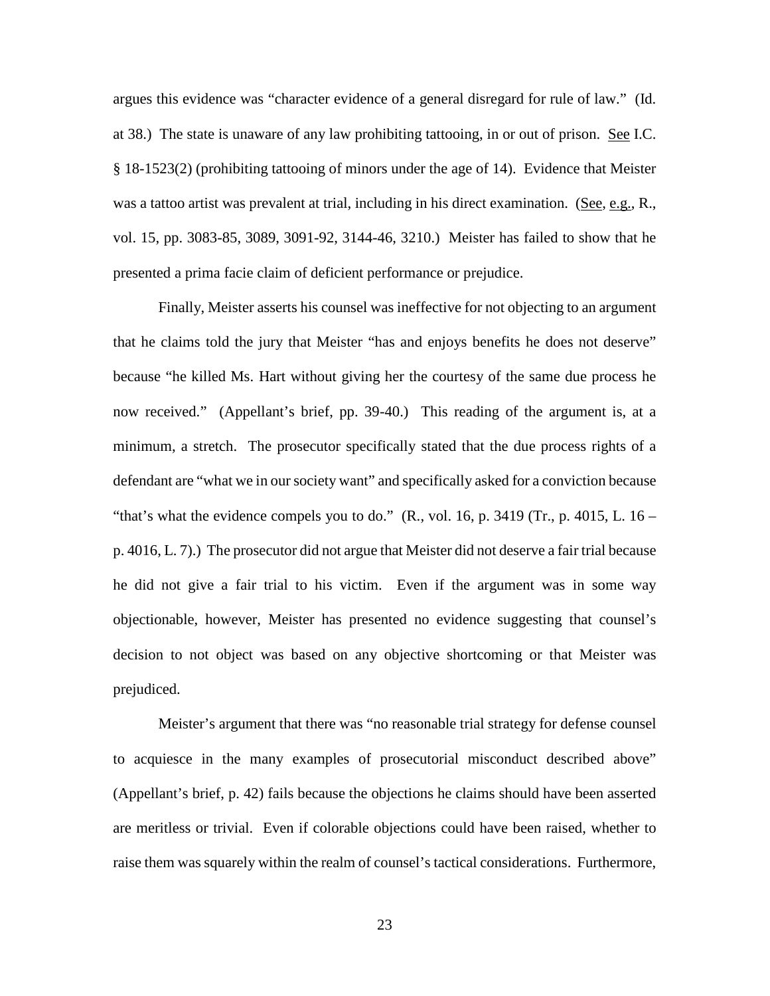argues this evidence was "character evidence of a general disregard for rule of law." (Id. at 38.) The state is unaware of any law prohibiting tattooing, in or out of prison. See I.C. § 18-1523(2) (prohibiting tattooing of minors under the age of 14). Evidence that Meister was a tattoo artist was prevalent at trial, including in his direct examination. (See, e.g., R., vol. 15, pp. 3083-85, 3089, 3091-92, 3144-46, 3210.) Meister has failed to show that he presented a prima facie claim of deficient performance or prejudice.

Finally, Meister asserts his counsel was ineffective for not objecting to an argument that he claims told the jury that Meister "has and enjoys benefits he does not deserve" because "he killed Ms. Hart without giving her the courtesy of the same due process he now received." (Appellant's brief, pp. 39-40.) This reading of the argument is, at a minimum, a stretch. The prosecutor specifically stated that the due process rights of a defendant are "what we in our society want" and specifically asked for a conviction because "that's what the evidence compels you to do."  $(R., vol. 16, p. 3419 (Tr., p. 4015, L. 16 –$ p. 4016, L. 7).) The prosecutor did not argue that Meister did not deserve a fair trial because he did not give a fair trial to his victim. Even if the argument was in some way objectionable, however, Meister has presented no evidence suggesting that counsel's decision to not object was based on any objective shortcoming or that Meister was prejudiced.

Meister's argument that there was "no reasonable trial strategy for defense counsel to acquiesce in the many examples of prosecutorial misconduct described above" (Appellant's brief, p. 42) fails because the objections he claims should have been asserted are meritless or trivial. Even if colorable objections could have been raised, whether to raise them was squarely within the realm of counsel's tactical considerations. Furthermore,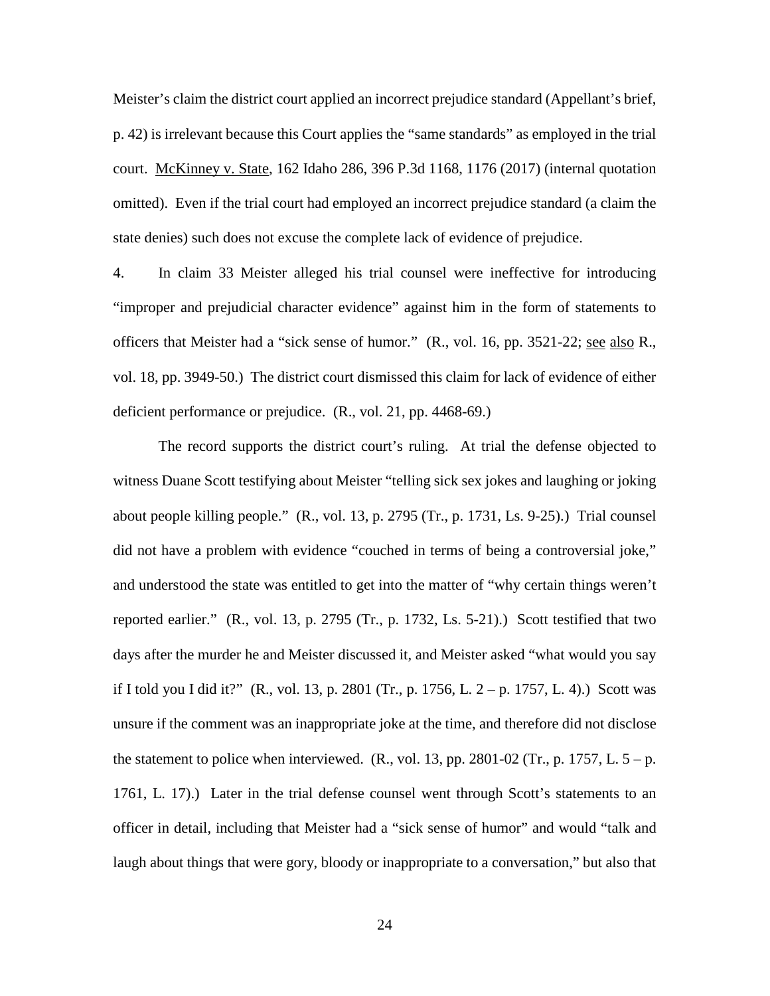Meister's claim the district court applied an incorrect prejudice standard (Appellant's brief, p. 42) is irrelevant because this Court applies the "same standards" as employed in the trial court. McKinney v. State, 162 Idaho 286, 396 P.3d 1168, 1176 (2017) (internal quotation omitted). Even if the trial court had employed an incorrect prejudice standard (a claim the state denies) such does not excuse the complete lack of evidence of prejudice.

4. In claim 33 Meister alleged his trial counsel were ineffective for introducing "improper and prejudicial character evidence" against him in the form of statements to officers that Meister had a "sick sense of humor." (R., vol. 16, pp. 3521-22; see also R., vol. 18, pp. 3949-50.) The district court dismissed this claim for lack of evidence of either deficient performance or prejudice. (R., vol. 21, pp. 4468-69.)

The record supports the district court's ruling. At trial the defense objected to witness Duane Scott testifying about Meister "telling sick sex jokes and laughing or joking about people killing people." (R., vol. 13, p. 2795 (Tr., p. 1731, Ls. 9-25).) Trial counsel did not have a problem with evidence "couched in terms of being a controversial joke," and understood the state was entitled to get into the matter of "why certain things weren't reported earlier." (R., vol. 13, p. 2795 (Tr., p. 1732, Ls. 5-21).) Scott testified that two days after the murder he and Meister discussed it, and Meister asked "what would you say if I told you I did it?" (R., vol. 13, p. 2801 (Tr., p. 1756, L. 2 – p. 1757, L. 4).) Scott was unsure if the comment was an inappropriate joke at the time, and therefore did not disclose the statement to police when interviewed.  $(R., vol. 13, pp. 2801-02 (Tr., p. 1757, L. 5 - p.$ 1761, L. 17).) Later in the trial defense counsel went through Scott's statements to an officer in detail, including that Meister had a "sick sense of humor" and would "talk and laugh about things that were gory, bloody or inappropriate to a conversation," but also that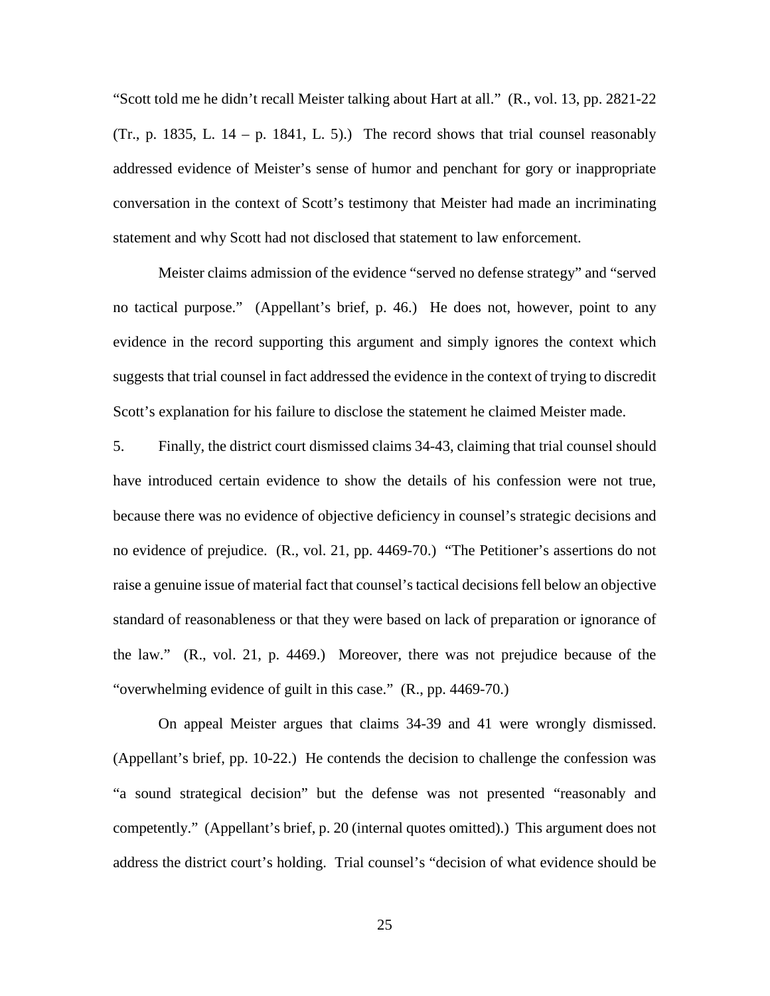"Scott told me he didn't recall Meister talking about Hart at all." (R., vol. 13, pp. 2821-22 (Tr., p. 1835, L.  $14 - p$ . 1841, L. 5).) The record shows that trial counsel reasonably addressed evidence of Meister's sense of humor and penchant for gory or inappropriate conversation in the context of Scott's testimony that Meister had made an incriminating statement and why Scott had not disclosed that statement to law enforcement.

Meister claims admission of the evidence "served no defense strategy" and "served no tactical purpose." (Appellant's brief, p. 46.) He does not, however, point to any evidence in the record supporting this argument and simply ignores the context which suggests that trial counsel in fact addressed the evidence in the context of trying to discredit Scott's explanation for his failure to disclose the statement he claimed Meister made.

5. Finally, the district court dismissed claims 34-43, claiming that trial counsel should have introduced certain evidence to show the details of his confession were not true, because there was no evidence of objective deficiency in counsel's strategic decisions and no evidence of prejudice. (R., vol. 21, pp. 4469-70.) "The Petitioner's assertions do not raise a genuine issue of material fact that counsel's tactical decisions fell below an objective standard of reasonableness or that they were based on lack of preparation or ignorance of the law." (R., vol. 21, p. 4469.) Moreover, there was not prejudice because of the "overwhelming evidence of guilt in this case." (R., pp. 4469-70.)

On appeal Meister argues that claims 34-39 and 41 were wrongly dismissed. (Appellant's brief, pp. 10-22.) He contends the decision to challenge the confession was "a sound strategical decision" but the defense was not presented "reasonably and competently." (Appellant's brief, p. 20 (internal quotes omitted).) This argument does not address the district court's holding. Trial counsel's "decision of what evidence should be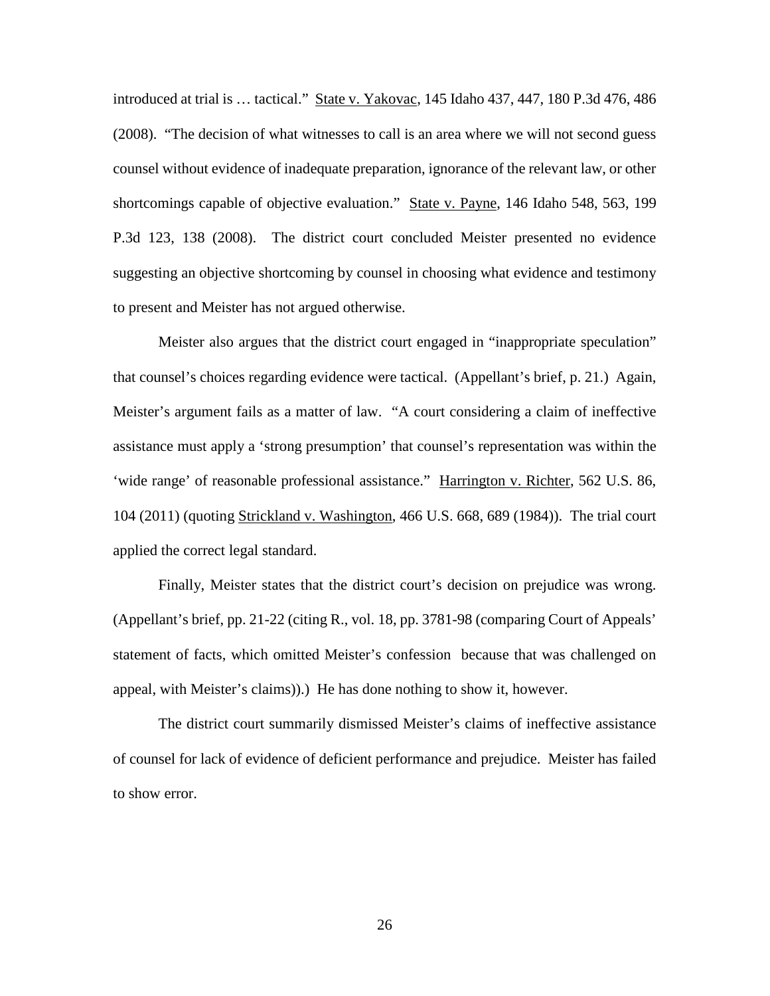introduced at trial is … tactical." State v. Yakovac, 145 Idaho 437, 447, 180 P.3d 476, 486 (2008). "The decision of what witnesses to call is an area where we will not second guess counsel without evidence of inadequate preparation, ignorance of the relevant law, or other shortcomings capable of objective evaluation." State v. Payne, 146 Idaho 548, 563, 199 P.3d 123, 138 (2008). The district court concluded Meister presented no evidence suggesting an objective shortcoming by counsel in choosing what evidence and testimony to present and Meister has not argued otherwise.

Meister also argues that the district court engaged in "inappropriate speculation" that counsel's choices regarding evidence were tactical. (Appellant's brief, p. 21.) Again, Meister's argument fails as a matter of law. "A court considering a claim of ineffective assistance must apply a 'strong presumption' that counsel's representation was within the 'wide range' of reasonable professional assistance." Harrington v. Richter, 562 U.S. 86, 104 (2011) (quoting Strickland v. Washington, 466 U.S. 668, 689 (1984)). The trial court applied the correct legal standard.

Finally, Meister states that the district court's decision on prejudice was wrong. (Appellant's brief, pp. 21-22 (citing R., vol. 18, pp. 3781-98 (comparing Court of Appeals' statement of facts, which omitted Meister's confession because that was challenged on appeal, with Meister's claims)).) He has done nothing to show it, however.

The district court summarily dismissed Meister's claims of ineffective assistance of counsel for lack of evidence of deficient performance and prejudice. Meister has failed to show error.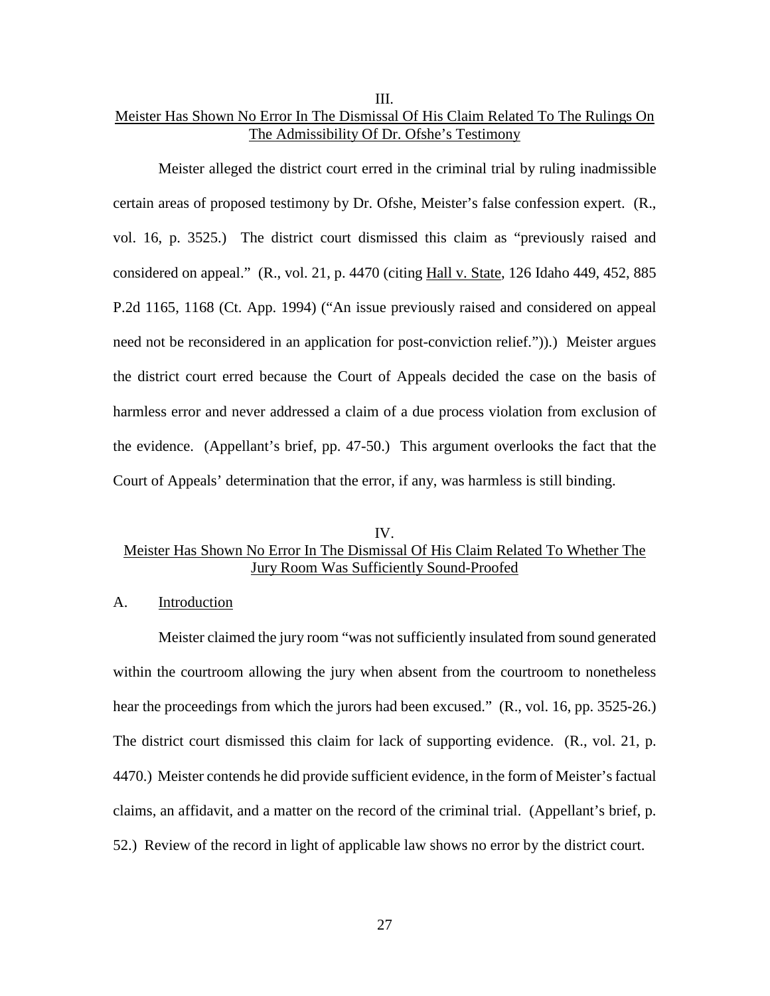## III. Meister Has Shown No Error In The Dismissal Of His Claim Related To The Rulings On The Admissibility Of Dr. Ofshe's Testimony

Meister alleged the district court erred in the criminal trial by ruling inadmissible certain areas of proposed testimony by Dr. Ofshe, Meister's false confession expert. (R., vol. 16, p. 3525.) The district court dismissed this claim as "previously raised and considered on appeal." (R., vol. 21, p. 4470 (citing Hall v. State, 126 Idaho 449, 452, 885 P.2d 1165, 1168 (Ct. App. 1994) ("An issue previously raised and considered on appeal need not be reconsidered in an application for post-conviction relief.")).) Meister argues the district court erred because the Court of Appeals decided the case on the basis of harmless error and never addressed a claim of a due process violation from exclusion of the evidence. (Appellant's brief, pp. 47-50.) This argument overlooks the fact that the Court of Appeals' determination that the error, if any, was harmless is still binding.

## IV. Meister Has Shown No Error In The Dismissal Of His Claim Related To Whether The Jury Room Was Sufficiently Sound-Proofed

#### A. Introduction

Meister claimed the jury room "was not sufficiently insulated from sound generated within the courtroom allowing the jury when absent from the courtroom to nonetheless hear the proceedings from which the jurors had been excused." (R., vol. 16, pp. 3525-26.) The district court dismissed this claim for lack of supporting evidence. (R., vol. 21, p. 4470.) Meister contends he did provide sufficient evidence, in the form of Meister's factual claims, an affidavit, and a matter on the record of the criminal trial. (Appellant's brief, p. 52.) Review of the record in light of applicable law shows no error by the district court.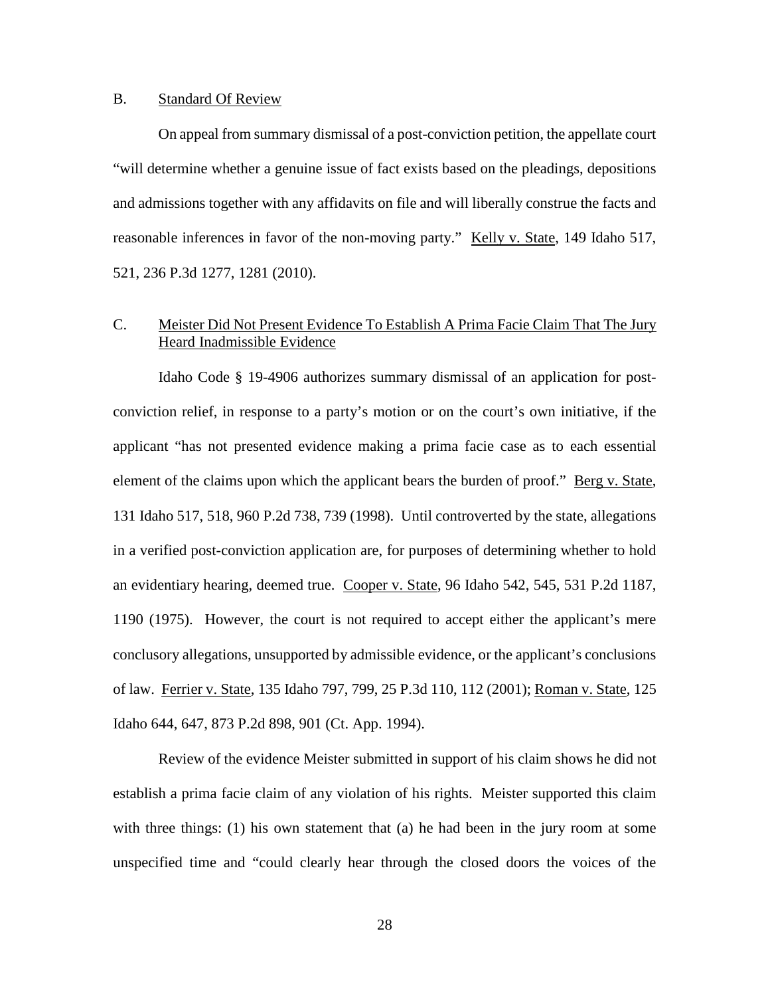#### B. Standard Of Review

On appeal from summary dismissal of a post-conviction petition, the appellate court "will determine whether a genuine issue of fact exists based on the pleadings, depositions and admissions together with any affidavits on file and will liberally construe the facts and reasonable inferences in favor of the non-moving party." Kelly v. State, 149 Idaho 517, 521, 236 P.3d 1277, 1281 (2010).

## C. Meister Did Not Present Evidence To Establish A Prima Facie Claim That The Jury Heard Inadmissible Evidence

Idaho Code § 19-4906 authorizes summary dismissal of an application for postconviction relief, in response to a party's motion or on the court's own initiative, if the applicant "has not presented evidence making a prima facie case as to each essential element of the claims upon which the applicant bears the burden of proof." Berg v. State, 131 Idaho 517, 518, 960 P.2d 738, 739 (1998). Until controverted by the state, allegations in a verified post-conviction application are, for purposes of determining whether to hold an evidentiary hearing, deemed true. Cooper v. State, 96 Idaho 542, 545, 531 P.2d 1187, 1190 (1975). However, the court is not required to accept either the applicant's mere conclusory allegations, unsupported by admissible evidence, or the applicant's conclusions of law. Ferrier v. State, 135 Idaho 797, 799, 25 P.3d 110, 112 (2001); Roman v. State, 125 Idaho 644, 647, 873 P.2d 898, 901 (Ct. App. 1994).

Review of the evidence Meister submitted in support of his claim shows he did not establish a prima facie claim of any violation of his rights. Meister supported this claim with three things: (1) his own statement that (a) he had been in the jury room at some unspecified time and "could clearly hear through the closed doors the voices of the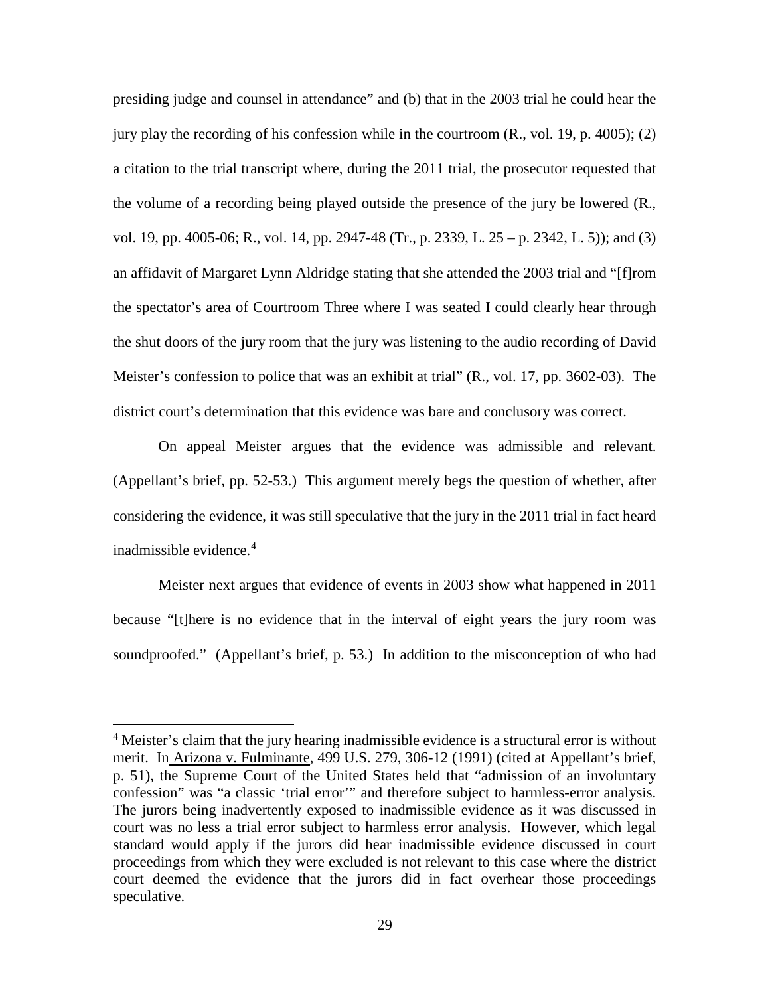presiding judge and counsel in attendance" and (b) that in the 2003 trial he could hear the jury play the recording of his confession while in the courtroom (R., vol. 19, p. 4005); (2) a citation to the trial transcript where, during the 2011 trial, the prosecutor requested that the volume of a recording being played outside the presence of the jury be lowered (R., vol. 19, pp. 4005-06; R., vol. 14, pp. 2947-48 (Tr., p. 2339, L. 25 – p. 2342, L. 5)); and (3) an affidavit of Margaret Lynn Aldridge stating that she attended the 2003 trial and "[f]rom the spectator's area of Courtroom Three where I was seated I could clearly hear through the shut doors of the jury room that the jury was listening to the audio recording of David Meister's confession to police that was an exhibit at trial" (R., vol. 17, pp. 3602-03). The district court's determination that this evidence was bare and conclusory was correct.

On appeal Meister argues that the evidence was admissible and relevant. (Appellant's brief, pp. 52-53.) This argument merely begs the question of whether, after considering the evidence, it was still speculative that the jury in the 2011 trial in fact heard inadmissible evidence.<sup>[4](#page-35-0)</sup>

Meister next argues that evidence of events in 2003 show what happened in 2011 because "[t]here is no evidence that in the interval of eight years the jury room was soundproofed." (Appellant's brief, p. 53.) In addition to the misconception of who had

 $\overline{a}$ 

<span id="page-35-0"></span><sup>&</sup>lt;sup>4</sup> Meister's claim that the jury hearing inadmissible evidence is a structural error is without merit. In Arizona v. Fulminante, 499 U.S. 279, 306-12 (1991) (cited at Appellant's brief, p. 51), the Supreme Court of the United States held that "admission of an involuntary confession" was "a classic 'trial error'" and therefore subject to harmless-error analysis. The jurors being inadvertently exposed to inadmissible evidence as it was discussed in court was no less a trial error subject to harmless error analysis. However, which legal standard would apply if the jurors did hear inadmissible evidence discussed in court proceedings from which they were excluded is not relevant to this case where the district court deemed the evidence that the jurors did in fact overhear those proceedings speculative.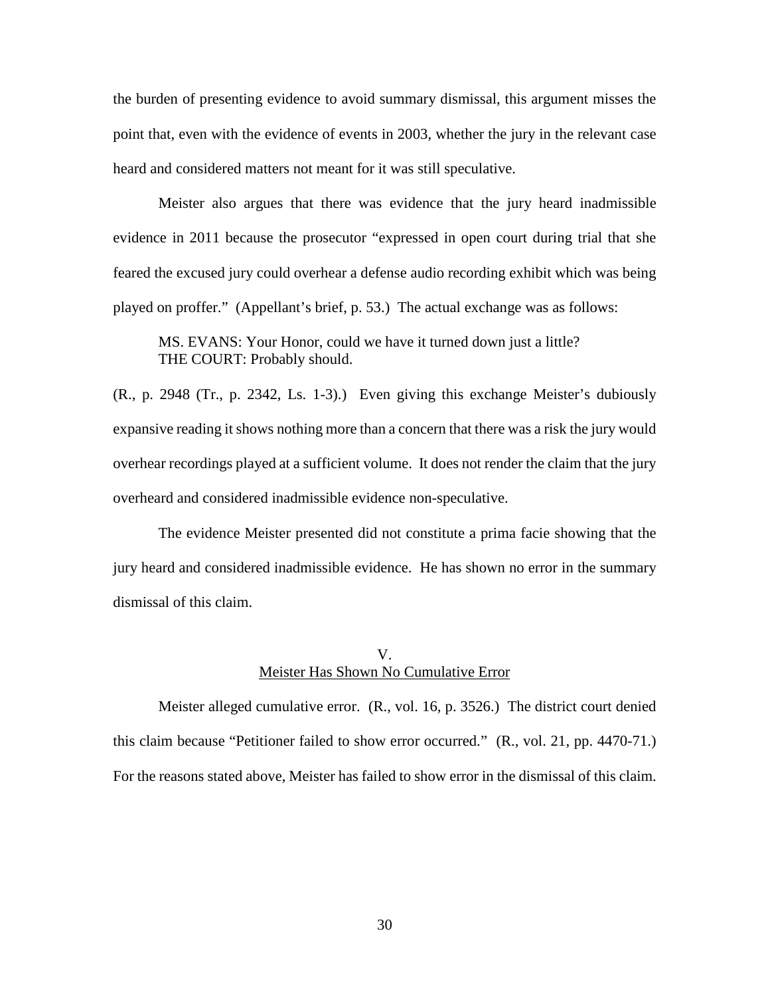the burden of presenting evidence to avoid summary dismissal, this argument misses the point that, even with the evidence of events in 2003, whether the jury in the relevant case heard and considered matters not meant for it was still speculative.

Meister also argues that there was evidence that the jury heard inadmissible evidence in 2011 because the prosecutor "expressed in open court during trial that she feared the excused jury could overhear a defense audio recording exhibit which was being played on proffer." (Appellant's brief, p. 53.) The actual exchange was as follows:

MS. EVANS: Your Honor, could we have it turned down just a little? THE COURT: Probably should.

(R., p. 2948 (Tr., p. 2342, Ls. 1-3).) Even giving this exchange Meister's dubiously expansive reading it shows nothing more than a concern that there was a risk the jury would overhear recordings played at a sufficient volume. It does not render the claim that the jury overheard and considered inadmissible evidence non-speculative.

The evidence Meister presented did not constitute a prima facie showing that the jury heard and considered inadmissible evidence. He has shown no error in the summary dismissal of this claim.

### V. Meister Has Shown No Cumulative Error

Meister alleged cumulative error. (R., vol. 16, p. 3526.) The district court denied this claim because "Petitioner failed to show error occurred." (R., vol. 21, pp. 4470-71.) For the reasons stated above, Meister has failed to show error in the dismissal of this claim.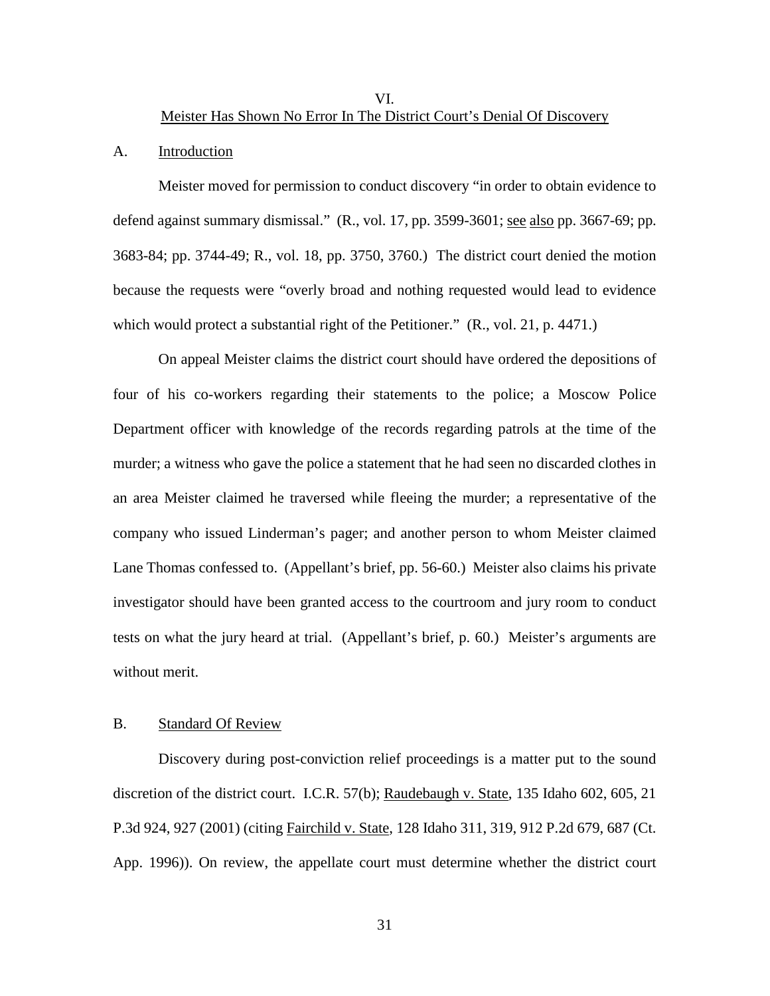VI.

Meister Has Shown No Error In The District Court's Denial Of Discovery

#### A. Introduction

Meister moved for permission to conduct discovery "in order to obtain evidence to defend against summary dismissal." (R., vol. 17, pp. 3599-3601; see also pp. 3667-69; pp. 3683-84; pp. 3744-49; R., vol. 18, pp. 3750, 3760.) The district court denied the motion because the requests were "overly broad and nothing requested would lead to evidence which would protect a substantial right of the Petitioner." (R., vol. 21, p. 4471.)

On appeal Meister claims the district court should have ordered the depositions of four of his co-workers regarding their statements to the police; a Moscow Police Department officer with knowledge of the records regarding patrols at the time of the murder; a witness who gave the police a statement that he had seen no discarded clothes in an area Meister claimed he traversed while fleeing the murder; a representative of the company who issued Linderman's pager; and another person to whom Meister claimed Lane Thomas confessed to. (Appellant's brief, pp. 56-60.) Meister also claims his private investigator should have been granted access to the courtroom and jury room to conduct tests on what the jury heard at trial. (Appellant's brief, p. 60.) Meister's arguments are without merit.

#### B. Standard Of Review

Discovery during post-conviction relief proceedings is a matter put to the sound discretion of the district court. I.C.R. 57(b); Raudebaugh v. State, 135 Idaho 602, 605, 21 P.3d 924, 927 (2001) (citing Fairchild v. State, 128 Idaho 311, 319, 912 P.2d 679, 687 (Ct. App. 1996)). On review, the appellate court must determine whether the district court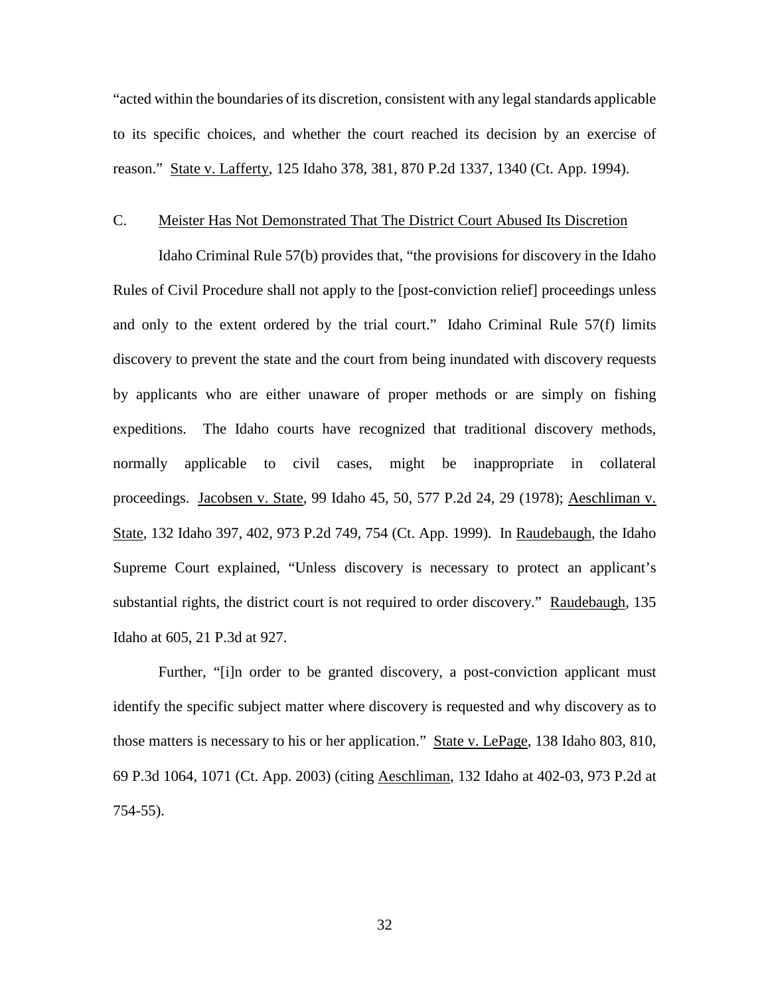"acted within the boundaries of its discretion, consistent with any legal standards applicable to its specific choices, and whether the court reached its decision by an exercise of reason." State v. Lafferty, 125 Idaho 378, 381, 870 P.2d 1337, 1340 (Ct. App. 1994).

#### C. Meister Has Not Demonstrated That The District Court Abused Its Discretion

Idaho Criminal Rule 57(b) provides that, "the provisions for discovery in the Idaho Rules of Civil Procedure shall not apply to the [post-conviction relief] proceedings unless and only to the extent ordered by the trial court." Idaho Criminal Rule 57(f) limits discovery to prevent the state and the court from being inundated with discovery requests by applicants who are either unaware of proper methods or are simply on fishing expeditions. The Idaho courts have recognized that traditional discovery methods, normally applicable to civil cases, might be inappropriate in collateral proceedings. Jacobsen v. State, 99 Idaho 45, 50, 577 P.2d 24, 29 (1978); Aeschliman v. State, 132 Idaho 397, 402, 973 P.2d 749, 754 (Ct. App. 1999). In Raudebaugh, the Idaho Supreme Court explained, "Unless discovery is necessary to protect an applicant's substantial rights, the district court is not required to order discovery." Raudebaugh, 135 Idaho at 605, 21 P.3d at 927.

Further, "[i]n order to be granted discovery, a post-conviction applicant must identify the specific subject matter where discovery is requested and why discovery as to those matters is necessary to his or her application." State v. LePage, 138 Idaho 803, 810, 69 P.3d 1064, 1071 (Ct. App. 2003) (citing Aeschliman, 132 Idaho at 402-03, 973 P.2d at 754-55).